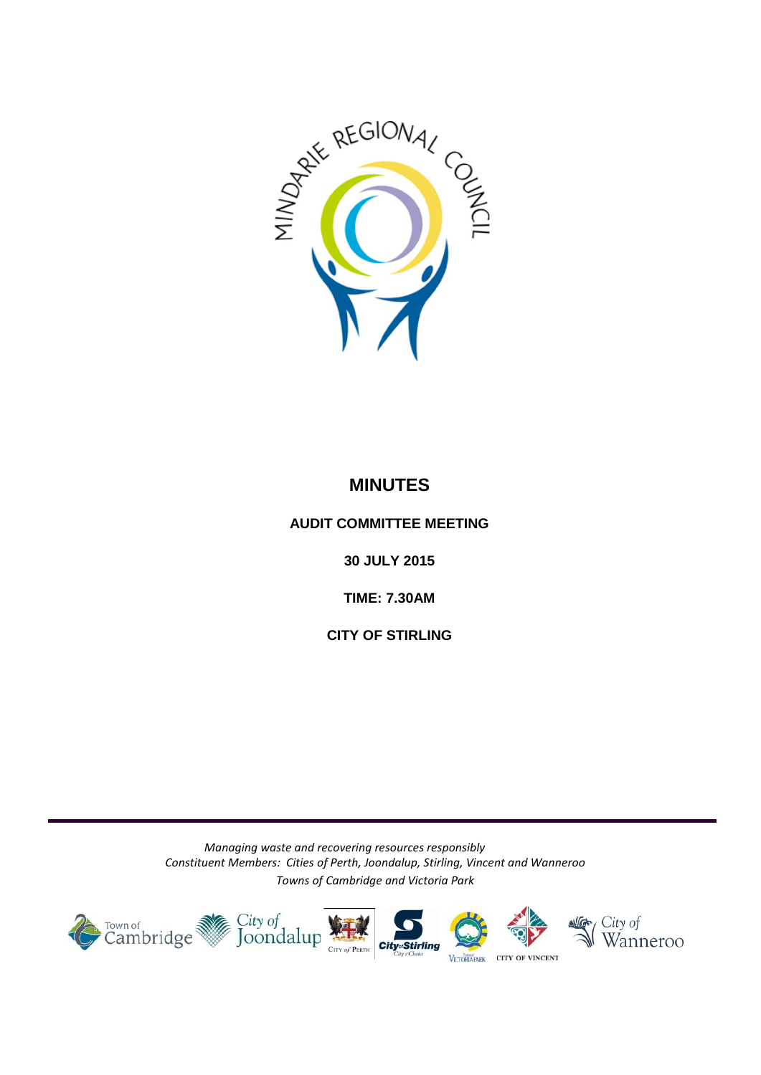

### **MINUTES**

### **AUDIT COMMITTEE MEETING**

**30 JULY 2015**

**TIME: 7.30AM** 

**CITY OF STIRLING**

*Managing waste and recovering resources responsibly Constituent Members: Cities of Perth, Joondalup, Stirling, Vincent and Wanneroo Towns of Cambridge and Victoria Park*

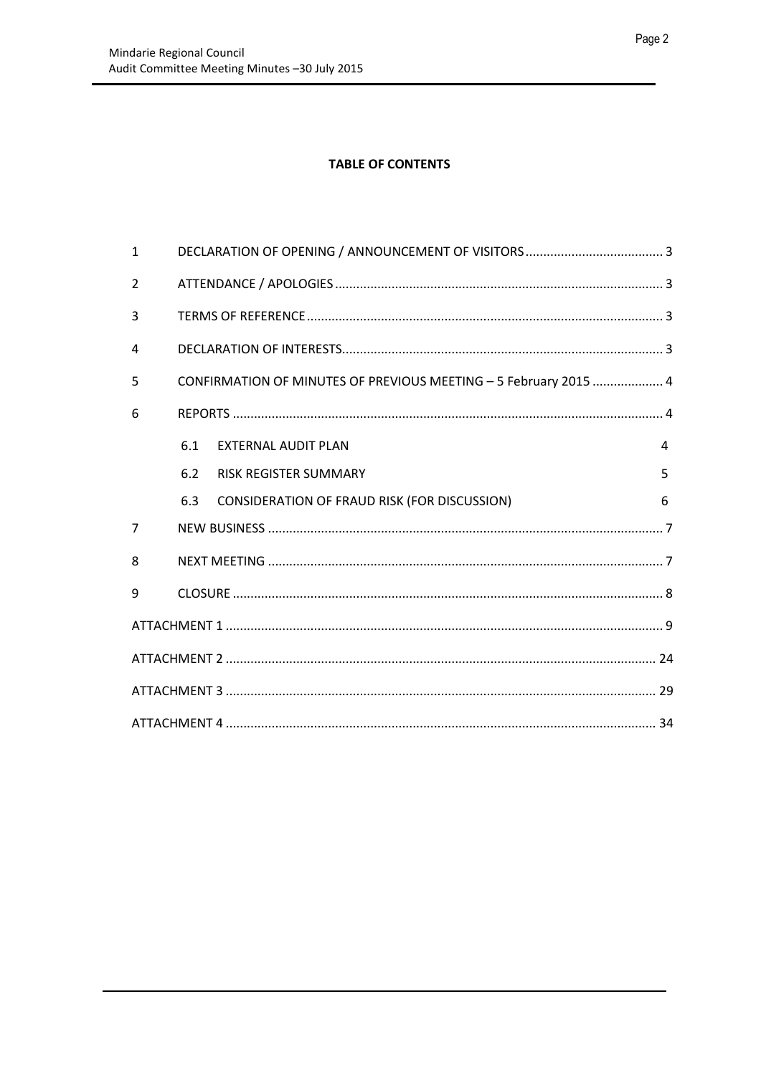### **TABLE OF CONTENTS**

| $\mathbf{1}$   |     |                                                                  |                |  |  |  |
|----------------|-----|------------------------------------------------------------------|----------------|--|--|--|
| $\overline{2}$ |     |                                                                  |                |  |  |  |
| 3              |     |                                                                  |                |  |  |  |
| 4              |     |                                                                  |                |  |  |  |
| 5              |     | CONFIRMATION OF MINUTES OF PREVIOUS MEETING - 5 February 2015  4 |                |  |  |  |
| 6              |     |                                                                  |                |  |  |  |
|                | 6.1 | <b>EXTERNAL AUDIT PLAN</b>                                       | $\overline{4}$ |  |  |  |
|                | 6.2 | <b>RISK REGISTER SUMMARY</b>                                     | 5              |  |  |  |
|                | 6.3 | <b>CONSIDERATION OF FRAUD RISK (FOR DISCUSSION)</b>              | 6              |  |  |  |
| 7              |     |                                                                  |                |  |  |  |
| 8              |     |                                                                  |                |  |  |  |
| 9              |     |                                                                  |                |  |  |  |
|                |     |                                                                  |                |  |  |  |
|                |     |                                                                  |                |  |  |  |
|                |     |                                                                  |                |  |  |  |
|                |     |                                                                  |                |  |  |  |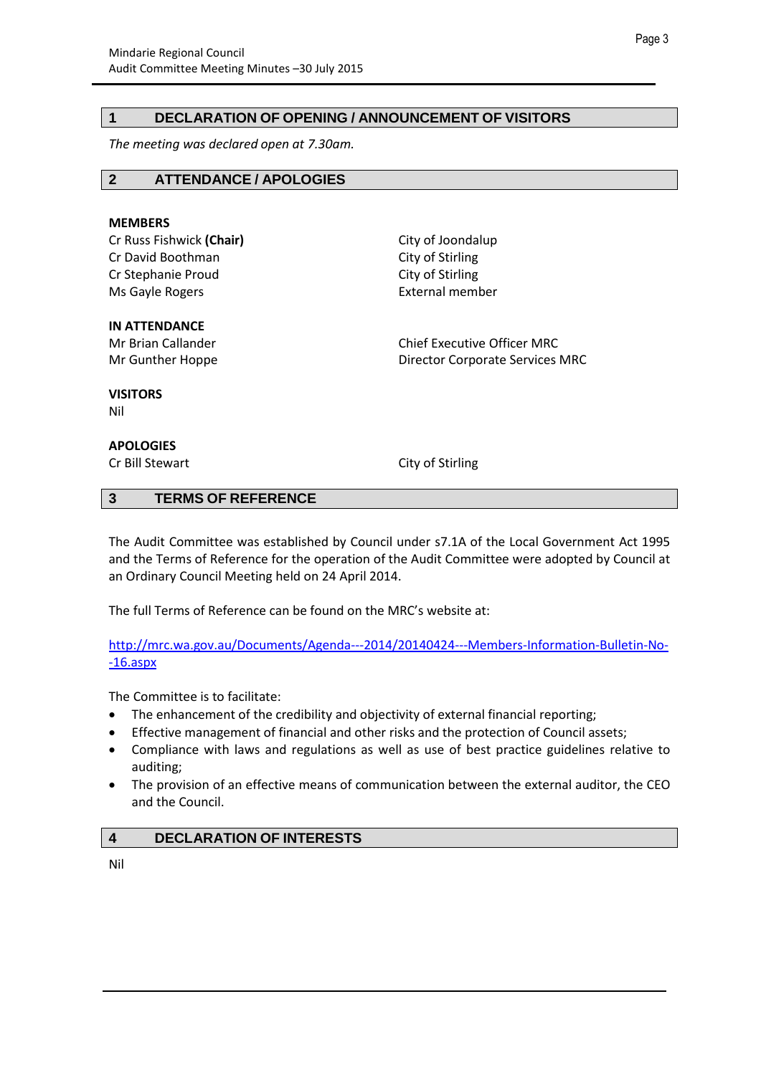### <span id="page-2-0"></span>**1 DECLARATION OF OPENING / ANNOUNCEMENT OF VISITORS**

*The meeting was declared open at 7.30am.*

### <span id="page-2-1"></span>**2 ATTENDANCE / APOLOGIES**

#### **MEMBERS**

Cr Russ Fishwick (Chair) City of Joondalup Cr David Boothman Cr David Boothman Cr Stephanie Proud City of Stirling Ms Gayle Rogers **External member** 

**IN ATTENDANCE**

Mr Brian Callander **Chief Executive Officer MRC** Mr Gunther Hoppe Director Corporate Services MRC

**VISITORS** Nil

### **APOLOGIES**

Cr Bill Stewart City of Stirling

### <span id="page-2-2"></span>**3 TERMS OF REFERENCE**

The Audit Committee was established by Council under s7.1A of the Local Government Act 1995 and the Terms of Reference for the operation of the Audit Committee were adopted by Council at an Ordinary Council Meeting held on 24 April 2014.

The full Terms of Reference can be found on the MRC's website at:

[http://mrc.wa.gov.au/Documents/Agenda---2014/20140424---Members-Information-Bulletin-No-](http://mrc.wa.gov.au/Documents/Agenda---2014/20140424---Members-Information-Bulletin-No--16.aspx) [-16.aspx](http://mrc.wa.gov.au/Documents/Agenda---2014/20140424---Members-Information-Bulletin-No--16.aspx)

The Committee is to facilitate:

- The enhancement of the credibility and objectivity of external financial reporting;
- Effective management of financial and other risks and the protection of Council assets;
- Compliance with laws and regulations as well as use of best practice guidelines relative to auditing;
- The provision of an effective means of communication between the external auditor, the CEO and the Council.

### <span id="page-2-3"></span>**4 DECLARATION OF INTERESTS**

Nil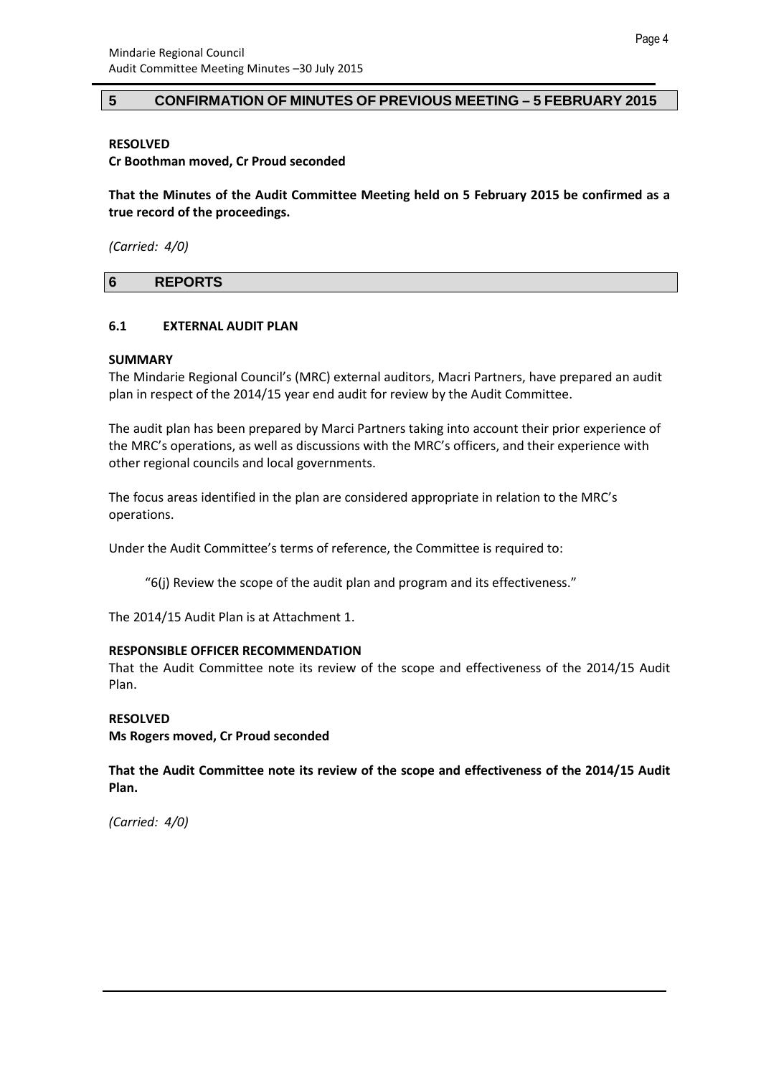### <span id="page-3-0"></span>**5 CONFIRMATION OF MINUTES OF PREVIOUS MEETING – 5 FEBRUARY 2015**

#### **RESOLVED**

**Cr Boothman moved, Cr Proud seconded**

**That the Minutes of the Audit Committee Meeting held on 5 February 2015 be confirmed as a true record of the proceedings.**

*(Carried: 4/0)*

### <span id="page-3-1"></span>**6 REPORTS**

### <span id="page-3-2"></span>**6.1 EXTERNAL AUDIT PLAN**

#### **SUMMARY**

The Mindarie Regional Council's (MRC) external auditors, Macri Partners, have prepared an audit plan in respect of the 2014/15 year end audit for review by the Audit Committee.

The audit plan has been prepared by Marci Partners taking into account their prior experience of the MRC's operations, as well as discussions with the MRC's officers, and their experience with other regional councils and local governments.

The focus areas identified in the plan are considered appropriate in relation to the MRC's operations.

Under the Audit Committee's terms of reference, the Committee is required to:

"6(j) Review the scope of the audit plan and program and its effectiveness."

The 2014/15 Audit Plan is at Attachment 1.

### **RESPONSIBLE OFFICER RECOMMENDATION**

That the Audit Committee note its review of the scope and effectiveness of the 2014/15 Audit Plan.

### **RESOLVED**

**Ms Rogers moved, Cr Proud seconded**

**That the Audit Committee note its review of the scope and effectiveness of the 2014/15 Audit Plan.**

<span id="page-3-3"></span>*(Carried: 4/0)*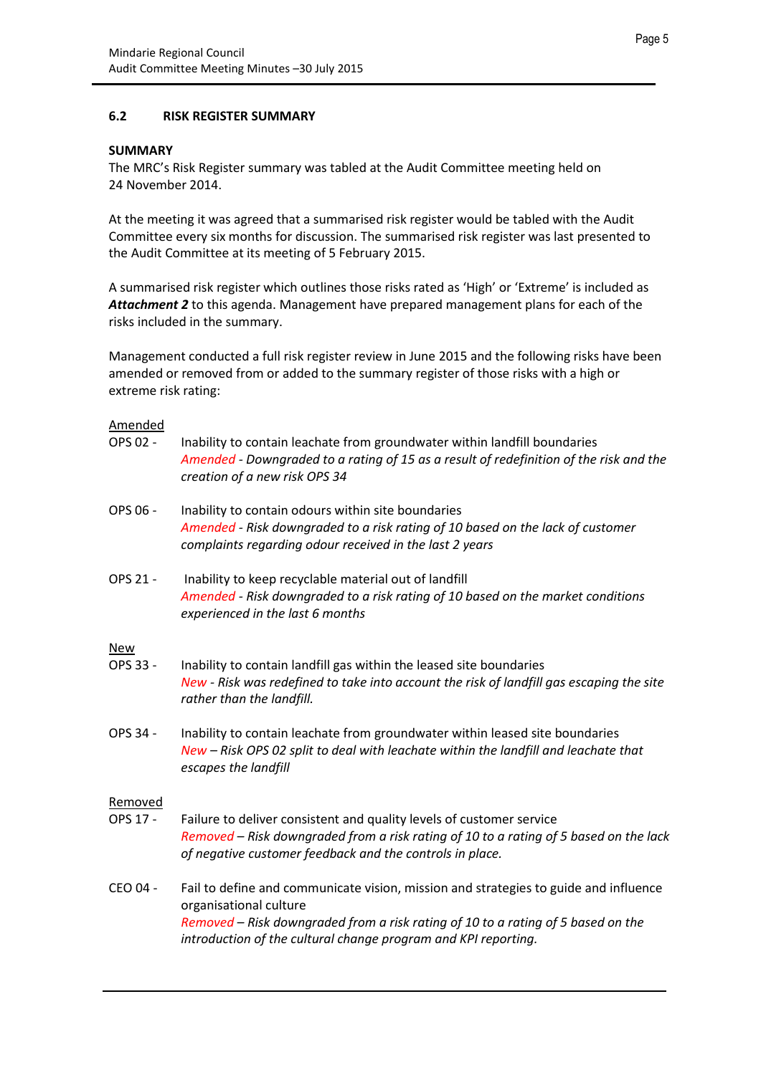### **6.2 RISK REGISTER SUMMARY**

### **SUMMARY**

The MRC's Risk Register summary was tabled at the Audit Committee meeting held on 24 November 2014.

At the meeting it was agreed that a summarised risk register would be tabled with the Audit Committee every six months for discussion. The summarised risk register was last presented to the Audit Committee at its meeting of 5 February 2015.

A summarised risk register which outlines those risks rated as 'High' or 'Extreme' is included as *Attachment 2* to this agenda. Management have prepared management plans for each of the risks included in the summary.

Management conducted a full risk register review in June 2015 and the following risks have been amended or removed from or added to the summary register of those risks with a high or extreme risk rating:

### Amended

- OPS 02 Inability to contain leachate from groundwater within landfill boundaries *Amended - Downgraded to a rating of 15 as a result of redefinition of the risk and the creation of a new risk OPS 34*
- OPS 06 Inability to contain odours within site boundaries *Amended - Risk downgraded to a risk rating of 10 based on the lack of customer complaints regarding odour received in the last 2 years*
- OPS 21 Inability to keep recyclable material out of landfill *Amended - Risk downgraded to a risk rating of 10 based on the market conditions experienced in the last 6 months*

### New

- OPS 33 Inability to contain landfill gas within the leased site boundaries *New - Risk was redefined to take into account the risk of landfill gas escaping the site rather than the landfill.*
- OPS 34 Inability to contain leachate from groundwater within leased site boundaries *New – Risk OPS 02 split to deal with leachate within the landfill and leachate that escapes the landfill*

### Removed

- OPS 17 Failure to deliver consistent and quality levels of customer service *Removed – Risk downgraded from a risk rating of 10 to a rating of 5 based on the lack of negative customer feedback and the controls in place.*
- CEO 04 Fail to define and communicate vision, mission and strategies to guide and influence organisational culture *Removed – Risk downgraded from a risk rating of 10 to a rating of 5 based on the introduction of the cultural change program and KPI reporting.*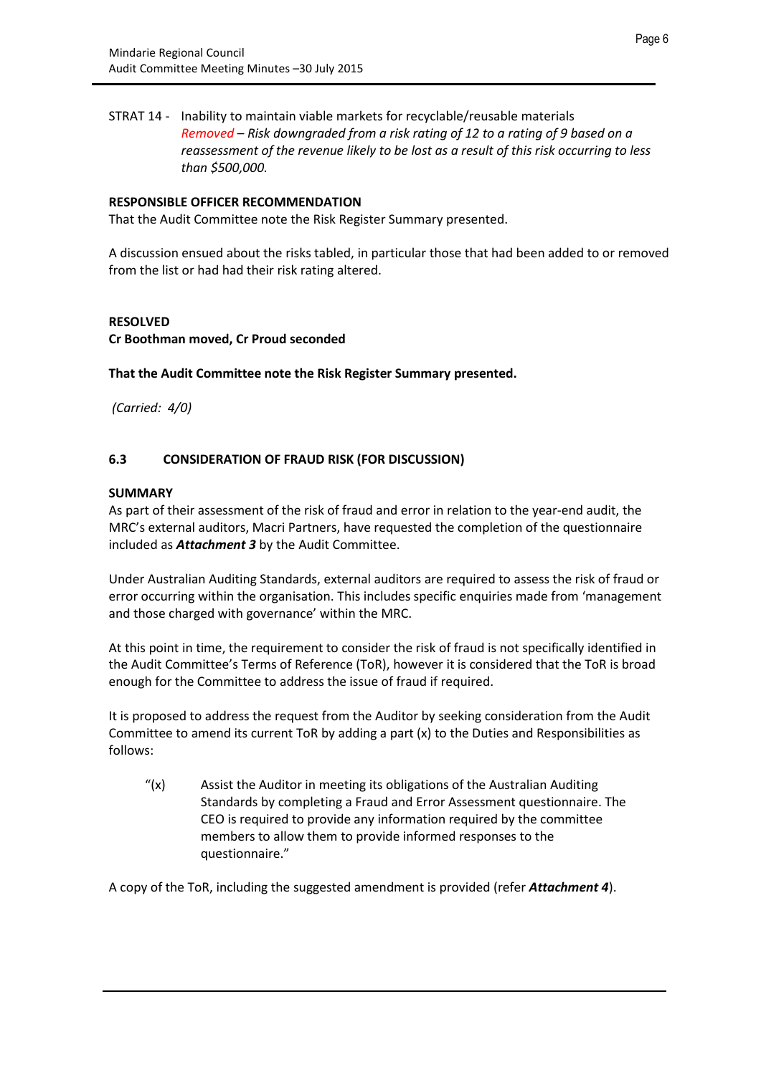STRAT 14 - Inability to maintain viable markets for recyclable/reusable materials *Removed – Risk downgraded from a risk rating of 12 to a rating of 9 based on a reassessment of the revenue likely to be lost as a result of this risk occurring to less than \$500,000.*

### **RESPONSIBLE OFFICER RECOMMENDATION**

That the Audit Committee note the Risk Register Summary presented.

A discussion ensued about the risks tabled, in particular those that had been added to or removed from the list or had had their risk rating altered.

### **RESOLVED**

**Cr Boothman moved, Cr Proud seconded**

**That the Audit Committee note the Risk Register Summary presented.**

*(Carried: 4/0)*

### <span id="page-5-0"></span>**6.3 CONSIDERATION OF FRAUD RISK (FOR DISCUSSION)**

### **SUMMARY**

As part of their assessment of the risk of fraud and error in relation to the year-end audit, the MRC's external auditors, Macri Partners, have requested the completion of the questionnaire included as *Attachment 3* by the Audit Committee.

Under Australian Auditing Standards, external auditors are required to assess the risk of fraud or error occurring within the organisation. This includes specific enquiries made from 'management and those charged with governance' within the MRC.

At this point in time, the requirement to consider the risk of fraud is not specifically identified in the Audit Committee's Terms of Reference (ToR), however it is considered that the ToR is broad enough for the Committee to address the issue of fraud if required.

It is proposed to address the request from the Auditor by seeking consideration from the Audit Committee to amend its current ToR by adding a part (x) to the Duties and Responsibilities as follows:

"(x) Assist the Auditor in meeting its obligations of the Australian Auditing Standards by completing a Fraud and Error Assessment questionnaire. The CEO is required to provide any information required by the committee members to allow them to provide informed responses to the questionnaire."

A copy of the ToR, including the suggested amendment is provided (refer *Attachment 4*).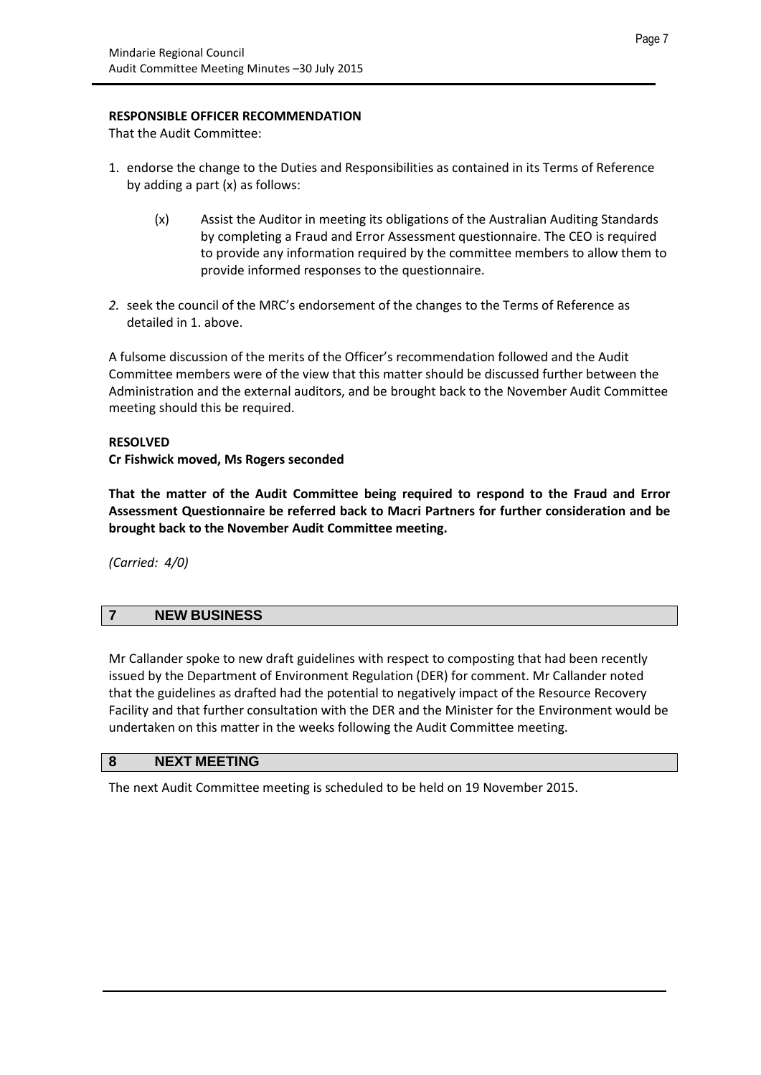### **RESPONSIBLE OFFICER RECOMMENDATION**

That the Audit Committee:

- 1. endorse the change to the Duties and Responsibilities as contained in its Terms of Reference by adding a part (x) as follows:
	- (x) Assist the Auditor in meeting its obligations of the Australian Auditing Standards by completing a Fraud and Error Assessment questionnaire. The CEO is required to provide any information required by the committee members to allow them to provide informed responses to the questionnaire.
- *2.* seek the council of the MRC's endorsement of the changes to the Terms of Reference as detailed in 1. above.

A fulsome discussion of the merits of the Officer's recommendation followed and the Audit Committee members were of the view that this matter should be discussed further between the Administration and the external auditors, and be brought back to the November Audit Committee meeting should this be required.

### **RESOLVED**

**Cr Fishwick moved, Ms Rogers seconded**

**That the matter of the Audit Committee being required to respond to the Fraud and Error Assessment Questionnaire be referred back to Macri Partners for further consideration and be brought back to the November Audit Committee meeting.**

*(Carried: 4/0)*

### <span id="page-6-0"></span>**7 NEW BUSINESS**

Mr Callander spoke to new draft guidelines with respect to composting that had been recently issued by the Department of Environment Regulation (DER) for comment. Mr Callander noted that the guidelines as drafted had the potential to negatively impact of the Resource Recovery Facility and that further consultation with the DER and the Minister for the Environment would be undertaken on this matter in the weeks following the Audit Committee meeting.

### <span id="page-6-1"></span>**8 NEXT MEETING**

The next Audit Committee meeting is scheduled to be held on 19 November 2015.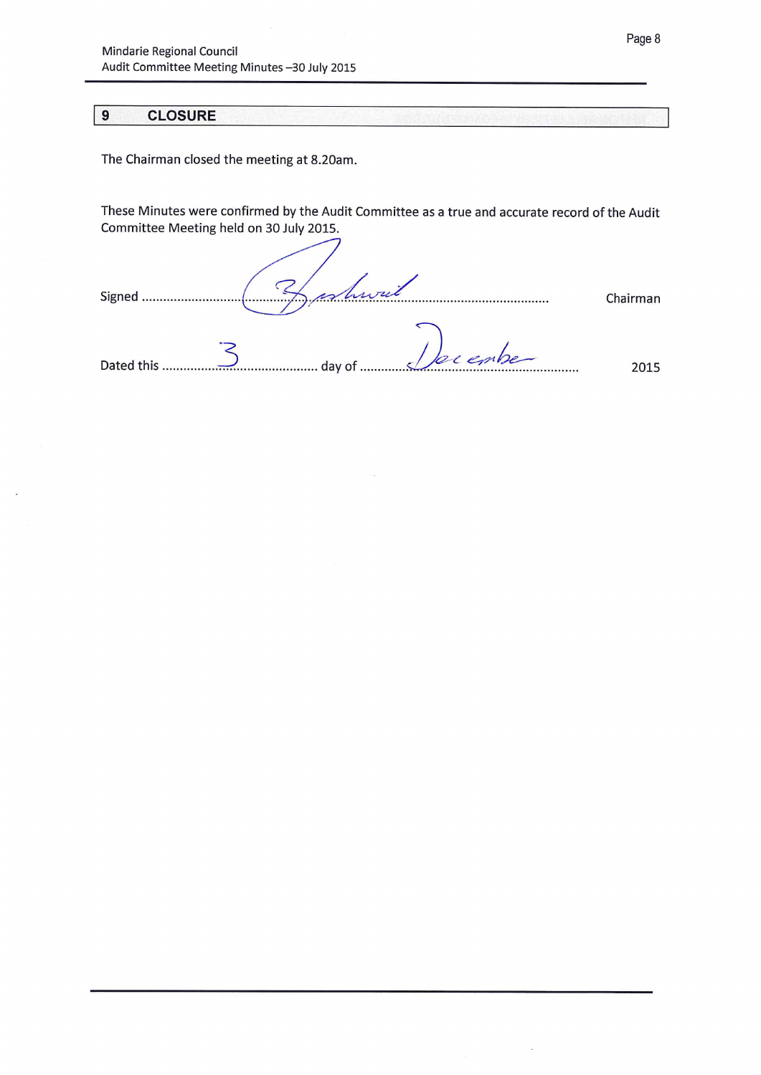#### $9\,$ **CLOSURE**

The Chairman closed the meeting at 8.20am.

These Minutes were confirmed by the Audit Committee as a true and accurate record of the Audit Committee Meeting held on 30 July 2015.

mhri Signed ....................... Chairman ...................................... reemb Dated this ............ "....................... day of ........... 2015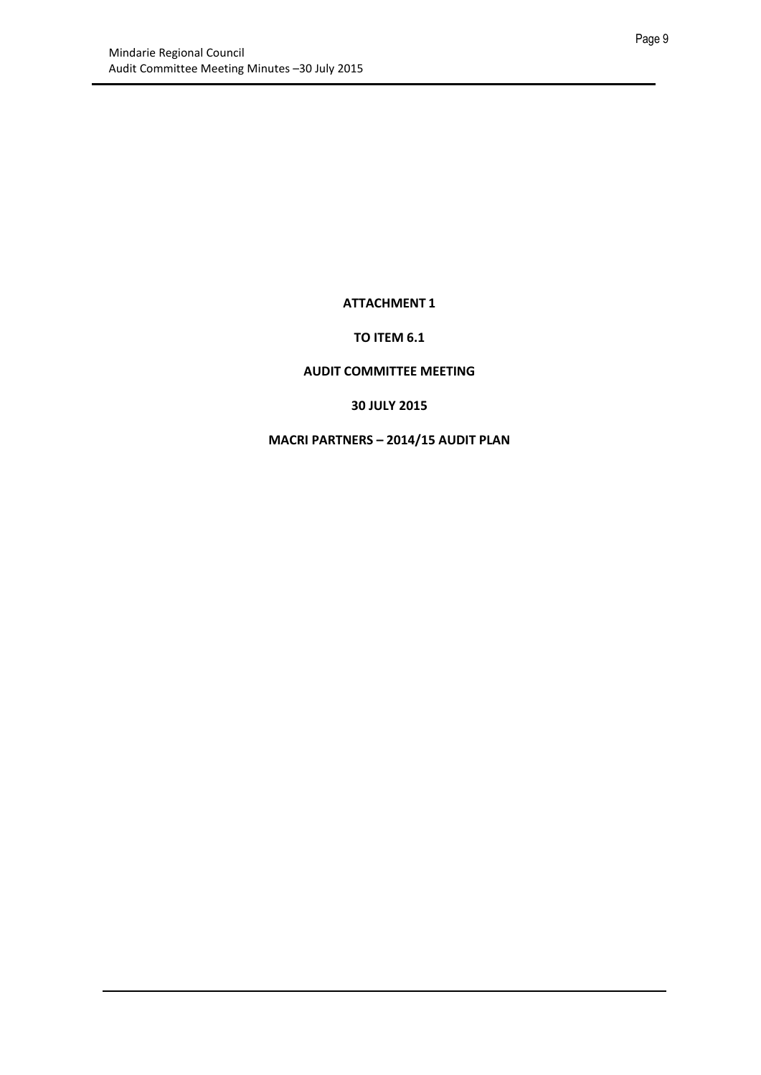### **ATTACHMENT 1**

### **TO ITEM 6.1**

### <span id="page-8-0"></span>**AUDIT COMMITTEE MEETING**

### **30 JULY 2015**

### **MACRI PARTNERS – 2014/15 AUDIT PLAN**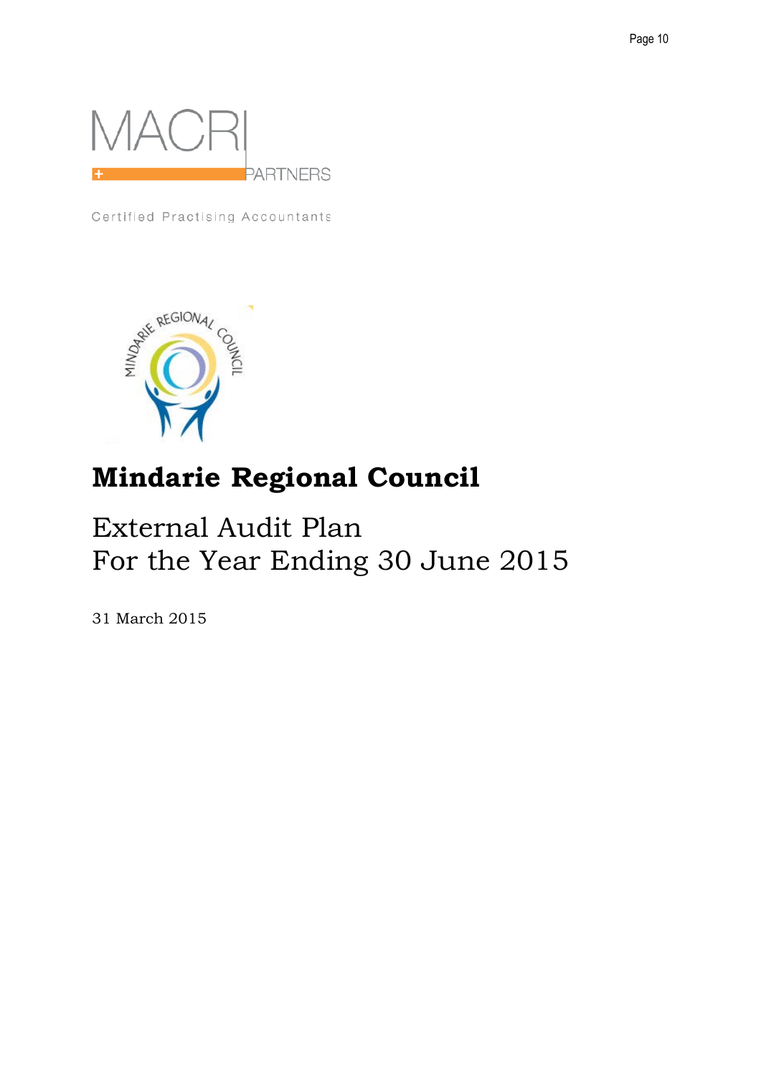

Certified Practising Accountants



## **Mindarie Regional Council**

## External Audit Plan For the Year Ending 30 June 2015

31 March 2015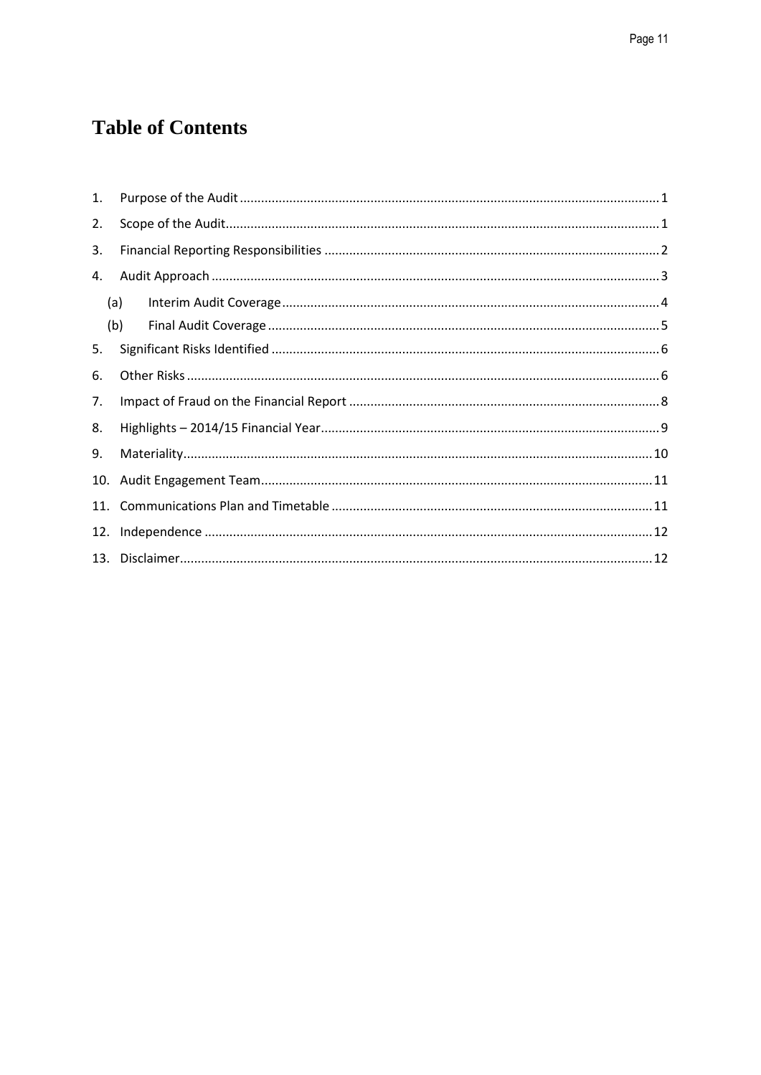### **Table of Contents**

| 1.  |     |  |  |  |  |  |  |
|-----|-----|--|--|--|--|--|--|
| 2.  |     |  |  |  |  |  |  |
| 3.  |     |  |  |  |  |  |  |
| 4.  |     |  |  |  |  |  |  |
|     | (a) |  |  |  |  |  |  |
|     | (b) |  |  |  |  |  |  |
| 5.  |     |  |  |  |  |  |  |
| 6.  |     |  |  |  |  |  |  |
| 7.  |     |  |  |  |  |  |  |
| 8.  |     |  |  |  |  |  |  |
| 9.  |     |  |  |  |  |  |  |
|     |     |  |  |  |  |  |  |
| 11. |     |  |  |  |  |  |  |
| 12. |     |  |  |  |  |  |  |
|     |     |  |  |  |  |  |  |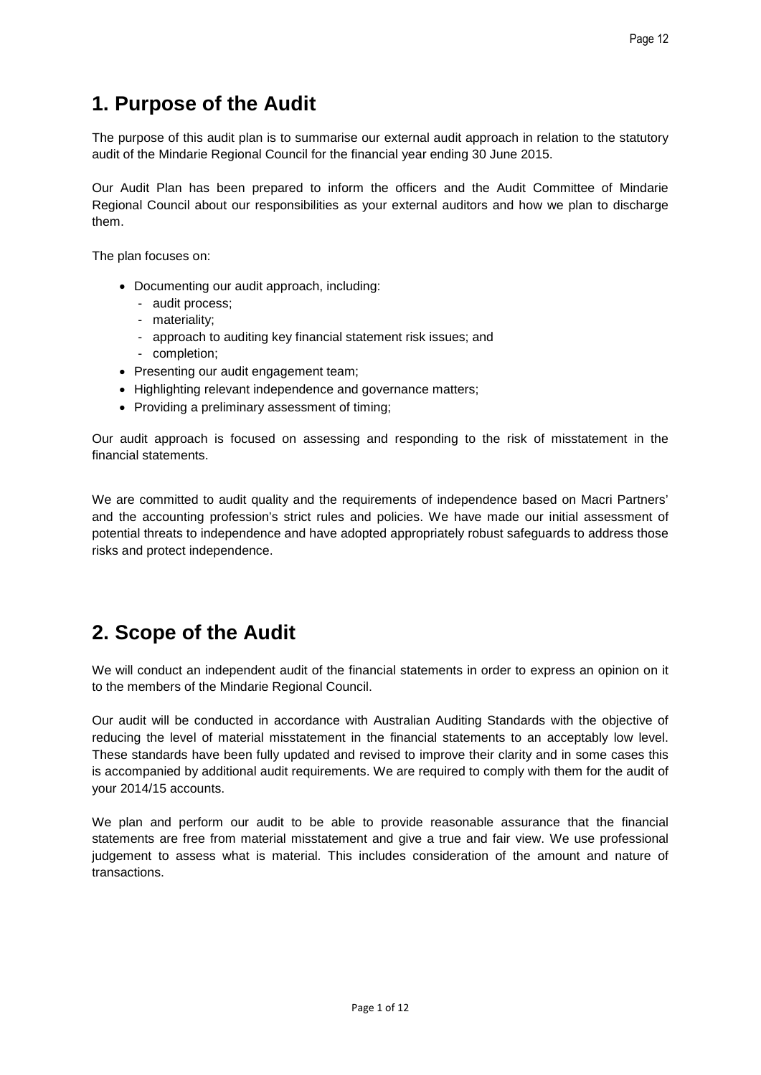### <span id="page-11-0"></span>**1. Purpose of the Audit**

The purpose of this audit plan is to summarise our external audit approach in relation to the statutory audit of the Mindarie Regional Council for the financial year ending 30 June 2015.

Our Audit Plan has been prepared to inform the officers and the Audit Committee of Mindarie Regional Council about our responsibilities as your external auditors and how we plan to discharge them.

The plan focuses on:

- Documenting our audit approach, including:
	- audit process;
	- materiality;
	- approach to auditing key financial statement risk issues; and
	- completion;
- Presenting our audit engagement team;
- Highlighting relevant independence and governance matters;
- Providing a preliminary assessment of timing;

Our audit approach is focused on assessing and responding to the risk of misstatement in the financial statements.

We are committed to audit quality and the requirements of independence based on Macri Partners' and the accounting profession's strict rules and policies. We have made our initial assessment of potential threats to independence and have adopted appropriately robust safeguards to address those risks and protect independence.

### <span id="page-11-1"></span>**2. Scope of the Audit**

We will conduct an independent audit of the financial statements in order to express an opinion on it to the members of the Mindarie Regional Council.

Our audit will be conducted in accordance with Australian Auditing Standards with the objective of reducing the level of material misstatement in the financial statements to an acceptably low level. These standards have been fully updated and revised to improve their clarity and in some cases this is accompanied by additional audit requirements. We are required to comply with them for the audit of your 2014/15 accounts.

We plan and perform our audit to be able to provide reasonable assurance that the financial statements are free from material misstatement and give a true and fair view. We use professional judgement to assess what is material. This includes consideration of the amount and nature of transactions.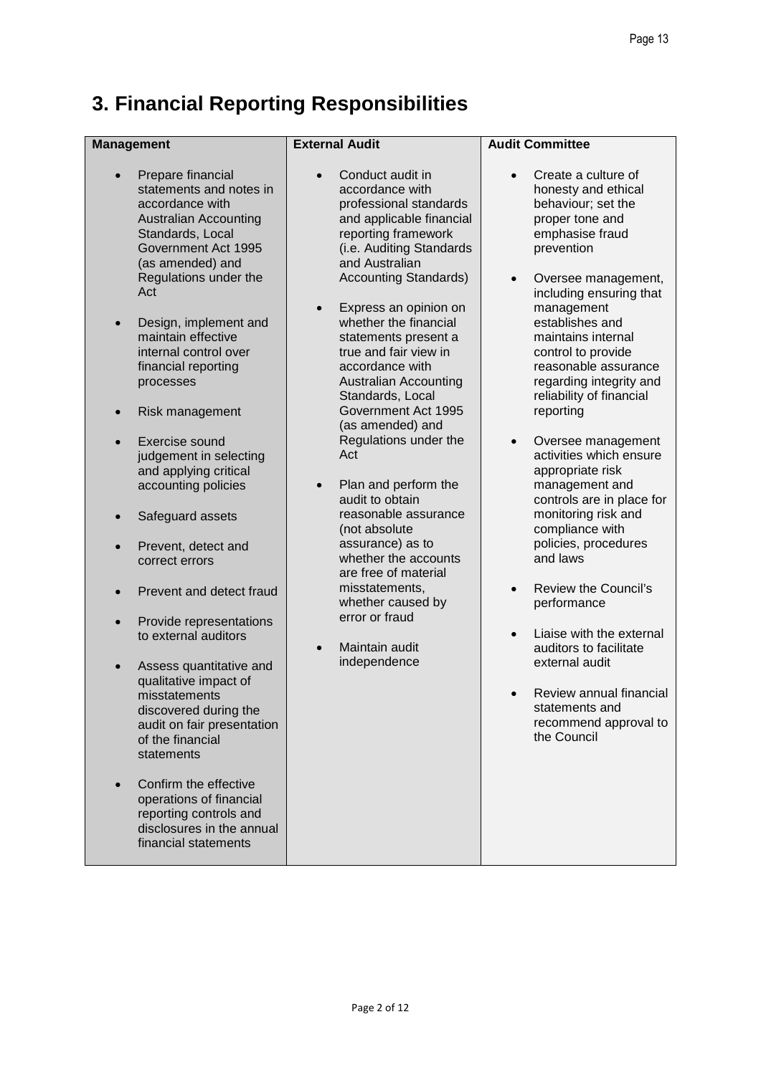### <span id="page-12-0"></span>**3. Financial Reporting Responsibilities**

### **Management**

- Prepare financial statements and notes in accordance with Australian Accounting Standards, Local Government Act 1995 (as amended) and Regulations under the Act
- Design, implement and maintain effective internal control over financial reporting processes
- Risk management
- Exercise sound judgement in selecting and applying critical accounting policies
- Safeguard assets
- Prevent, detect and correct errors
- Prevent and detect fraud
- Provide representations to external auditors
- Assess quantitative and qualitative impact of misstatements discovered during the audit on fair presentation of the financial statements
- Confirm the effective operations of financial reporting controls and disclosures in the annual financial statements

#### **External Audit**

- Conduct audit in accordance with professional standards and applicable financial reporting framework (i.e. Auditing Standards and Australian Accounting Standards)
- Express an opinion on whether the financial statements present a true and fair view in accordance with Australian Accounting Standards, Local Government Act 1995 (as amended) and Regulations under the Act
- Plan and perform the audit to obtain reasonable assurance (not absolute assurance) as to whether the accounts are free of material misstatements, whether caused by error or fraud
- Maintain audit independence

### **Audit Committee**

- Create a culture of honesty and ethical behaviour; set the proper tone and emphasise fraud prevention
- Oversee management, including ensuring that management establishes and maintains internal control to provide reasonable assurance regarding integrity and reliability of financial reporting
- Oversee management activities which ensure appropriate risk management and controls are in place for monitoring risk and compliance with policies, procedures and laws
- Review the Council's performance
- Liaise with the external auditors to facilitate external audit
- Review annual financial statements and recommend approval to the Council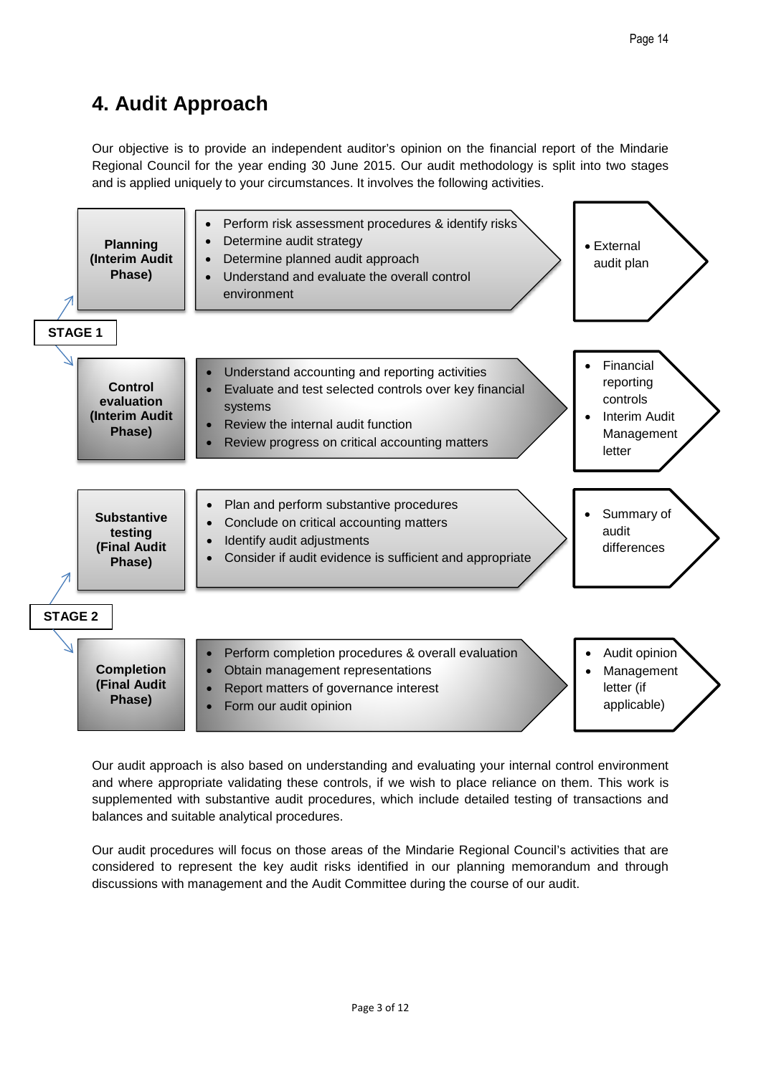### <span id="page-13-0"></span>**4. Audit Approach**

Our objective is to provide an independent auditor's opinion on the financial report of the Mindarie Regional Council for the year ending 30 June 2015. Our audit methodology is split into two stages and is applied uniquely to your circumstances. It involves the following activities.



Our audit approach is also based on understanding and evaluating your internal control environment and where appropriate validating these controls, if we wish to place reliance on them. This work is supplemented with substantive audit procedures, which include detailed testing of transactions and balances and suitable analytical procedures.

Our audit procedures will focus on those areas of the Mindarie Regional Council's activities that are considered to represent the key audit risks identified in our planning memorandum and through discussions with management and the Audit Committee during the course of our audit.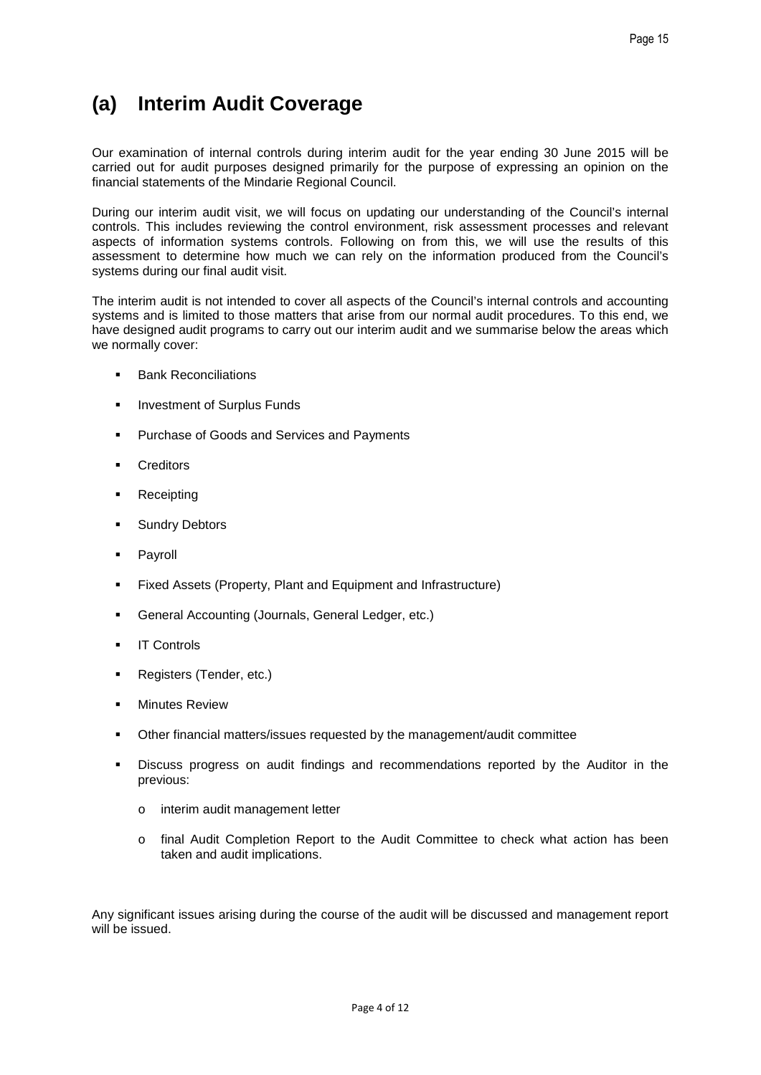### <span id="page-14-0"></span>**(a) Interim Audit Coverage**

Our examination of internal controls during interim audit for the year ending 30 June 2015 will be carried out for audit purposes designed primarily for the purpose of expressing an opinion on the financial statements of the Mindarie Regional Council.

During our interim audit visit, we will focus on updating our understanding of the Council's internal controls. This includes reviewing the control environment, risk assessment processes and relevant aspects of information systems controls. Following on from this, we will use the results of this assessment to determine how much we can rely on the information produced from the Council's systems during our final audit visit.

The interim audit is not intended to cover all aspects of the Council's internal controls and accounting systems and is limited to those matters that arise from our normal audit procedures. To this end, we have designed audit programs to carry out our interim audit and we summarise below the areas which we normally cover:

- Bank Reconciliations
- **Investment of Surplus Funds**
- **Purchase of Goods and Services and Payments**
- **Creditors**
- **Receipting**
- **Sundry Debtors**
- **-** Pavroll
- Fixed Assets (Property, Plant and Equipment and Infrastructure)
- General Accounting (Journals, General Ledger, etc.)
- **IT Controls**
- Registers (Tender, etc.)
- **-** Minutes Review
- Other financial matters/issues requested by the management/audit committee
- Discuss progress on audit findings and recommendations reported by the Auditor in the previous:
	- o interim audit management letter
	- o final Audit Completion Report to the Audit Committee to check what action has been taken and audit implications.

Any significant issues arising during the course of the audit will be discussed and management report will be issued.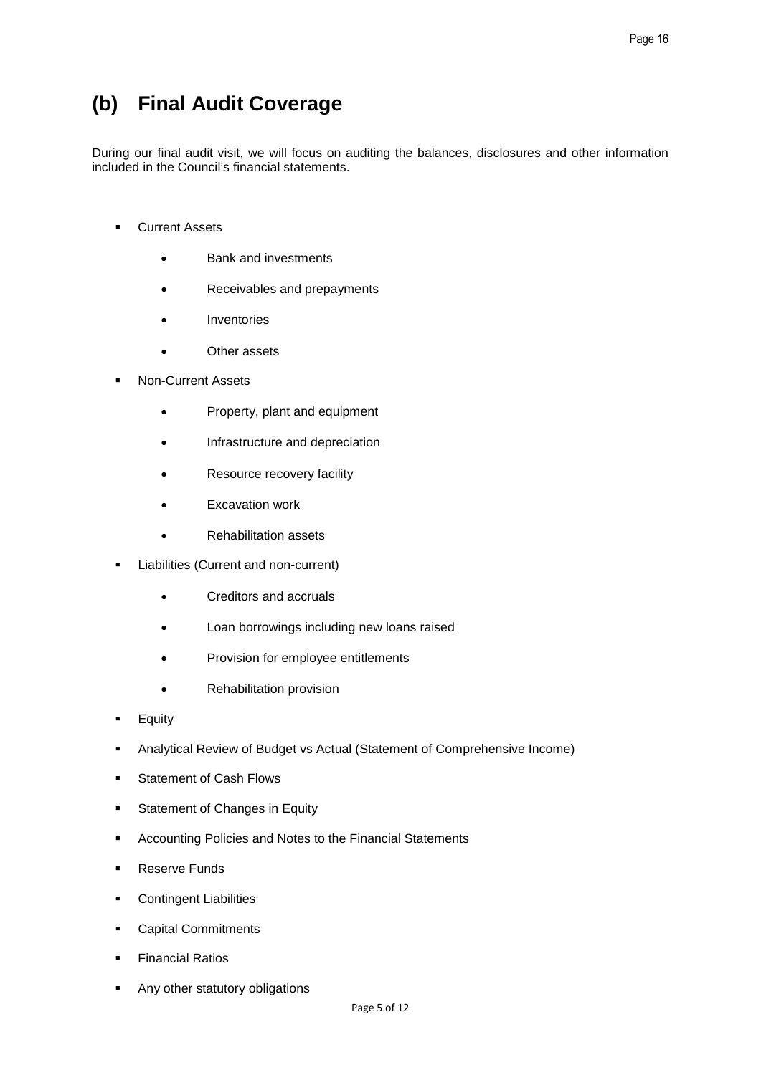### <span id="page-15-0"></span>**(b) Final Audit Coverage**

During our final audit visit, we will focus on auditing the balances, disclosures and other information included in the Council's financial statements.

- **Current Assets** 
	- Bank and investments
	- Receivables and prepayments
	- Inventories
	- **Other assets**
- Non-Current Assets
	- Property, plant and equipment
	- Infrastructure and depreciation
	- Resource recovery facility
	- **Excavation work**
	- Rehabilitation assets
- **E** Liabilities (Current and non-current)
	- Creditors and accruals
	- Loan borrowings including new loans raised
	- Provision for employee entitlements
	- Rehabilitation provision
- **Equity**
- Analytical Review of Budget vs Actual (Statement of Comprehensive Income)
- **Statement of Cash Flows**
- **Statement of Changes in Equity**
- Accounting Policies and Notes to the Financial Statements
- **Reserve Funds**
- **-** Contingent Liabilities
- **•** Capital Commitments
- **Financial Ratios**
- Any other statutory obligations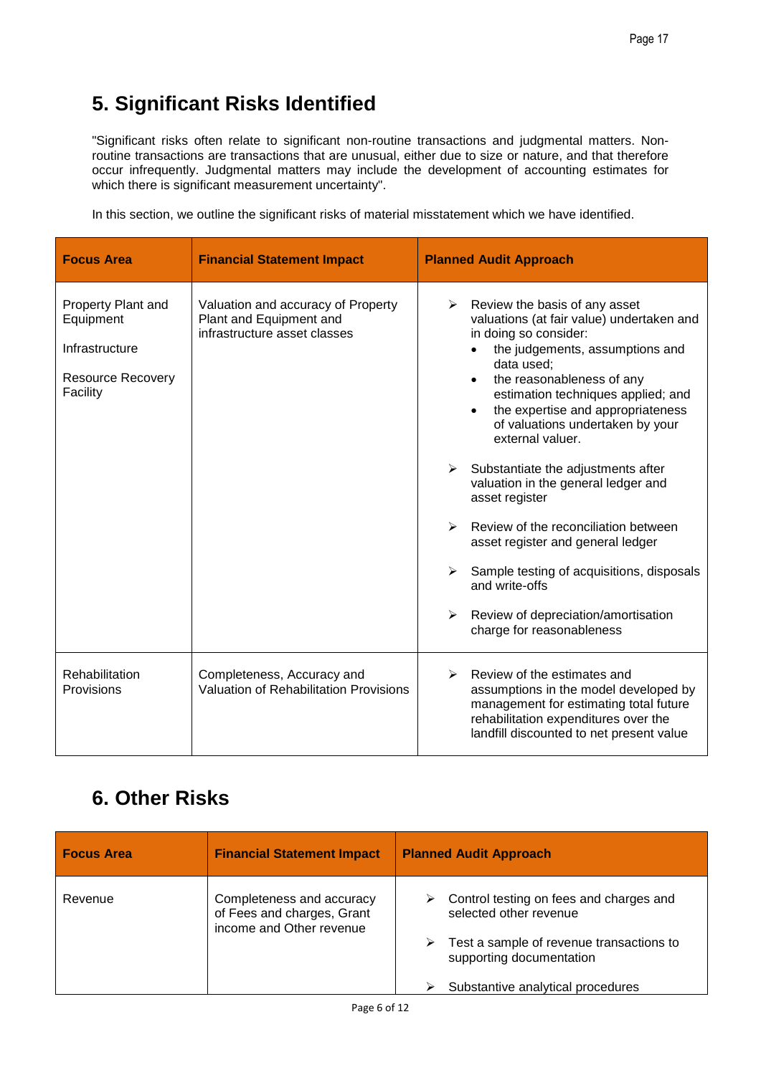### <span id="page-16-0"></span>**5. Significant Risks Identified**

"Significant risks often relate to significant non-routine transactions and judgmental matters. Nonroutine transactions are transactions that are unusual, either due to size or nature, and that therefore occur infrequently. Judgmental matters may include the development of accounting estimates for which there is significant measurement uncertainty".

In this section, we outline the significant risks of material misstatement which we have identified.

| <b>Focus Area</b>                                                                         | <b>Financial Statement Impact</b>                                                             | <b>Planned Audit Approach</b>                                                                                                                                                                                                                                                                                                                                                                                                                                                                                                                                                                                                                                                              |
|-------------------------------------------------------------------------------------------|-----------------------------------------------------------------------------------------------|--------------------------------------------------------------------------------------------------------------------------------------------------------------------------------------------------------------------------------------------------------------------------------------------------------------------------------------------------------------------------------------------------------------------------------------------------------------------------------------------------------------------------------------------------------------------------------------------------------------------------------------------------------------------------------------------|
| Property Plant and<br>Equipment<br>Infrastructure<br><b>Resource Recovery</b><br>Facility | Valuation and accuracy of Property<br>Plant and Equipment and<br>infrastructure asset classes | Review the basis of any asset<br>$\triangleright$<br>valuations (at fair value) undertaken and<br>in doing so consider:<br>the judgements, assumptions and<br>data used;<br>the reasonableness of any<br>estimation techniques applied; and<br>the expertise and appropriateness<br>of valuations undertaken by your<br>external valuer.<br>Substantiate the adjustments after<br>valuation in the general ledger and<br>asset register<br>Review of the reconciliation between<br>$\blacktriangleright$<br>asset register and general ledger<br>Sample testing of acquisitions, disposals<br>➤<br>and write-offs<br>Review of depreciation/amortisation<br>➤<br>charge for reasonableness |
| Rehabilitation<br>Provisions                                                              | Completeness, Accuracy and<br>Valuation of Rehabilitation Provisions                          | Review of the estimates and<br>$\triangleright$<br>assumptions in the model developed by<br>management for estimating total future<br>rehabilitation expenditures over the<br>landfill discounted to net present value                                                                                                                                                                                                                                                                                                                                                                                                                                                                     |

### <span id="page-16-1"></span>**6. Other Risks**

| <b>Focus Area</b> | <b>Financial Statement Impact</b>                                                   | <b>Planned Audit Approach</b>                                             |
|-------------------|-------------------------------------------------------------------------------------|---------------------------------------------------------------------------|
| Revenue           | Completeness and accuracy<br>of Fees and charges, Grant<br>income and Other revenue | Control testing on fees and charges and<br>selected other revenue         |
|                   |                                                                                     | Test a sample of revenue transactions to<br>⋗<br>supporting documentation |
|                   |                                                                                     | Substantive analytical procedures                                         |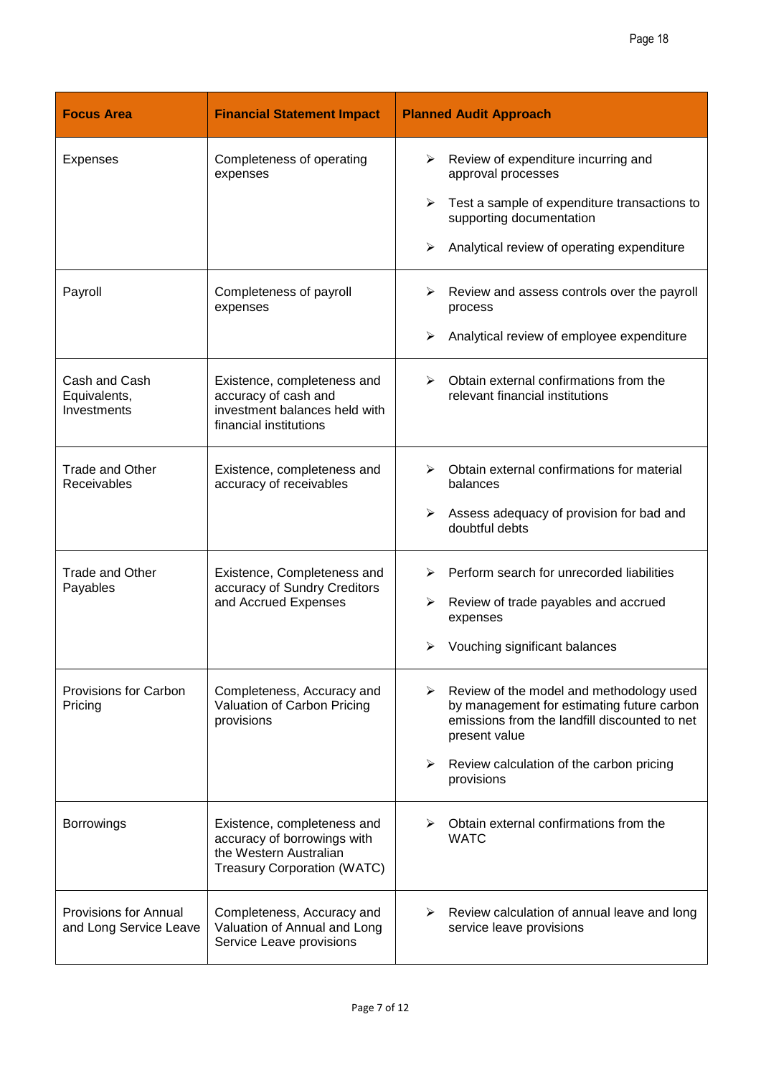| <b>Focus Area</b>                                      | <b>Financial Statement Impact</b>                                                                                          | <b>Planned Audit Approach</b>                                                                                                                                 |
|--------------------------------------------------------|----------------------------------------------------------------------------------------------------------------------------|---------------------------------------------------------------------------------------------------------------------------------------------------------------|
| <b>Expenses</b>                                        | Completeness of operating<br>expenses                                                                                      | Review of expenditure incurring and<br>➤<br>approval processes                                                                                                |
|                                                        |                                                                                                                            | Test a sample of expenditure transactions to<br>➤<br>supporting documentation                                                                                 |
|                                                        |                                                                                                                            | Analytical review of operating expenditure<br>⋗                                                                                                               |
| Payroll                                                | Completeness of payroll<br>expenses                                                                                        | Review and assess controls over the payroll<br>➤<br>process                                                                                                   |
|                                                        |                                                                                                                            | Analytical review of employee expenditure<br>➤                                                                                                                |
| Cash and Cash<br>Equivalents,<br>Investments           | Existence, completeness and<br>accuracy of cash and<br>investment balances held with<br>financial institutions             | Obtain external confirmations from the<br>➤<br>relevant financial institutions                                                                                |
| <b>Trade and Other</b><br><b>Receivables</b>           | Existence, completeness and<br>accuracy of receivables                                                                     | Obtain external confirmations for material<br>➤<br>balances                                                                                                   |
|                                                        |                                                                                                                            | Assess adequacy of provision for bad and<br>➤<br>doubtful debts                                                                                               |
| <b>Trade and Other</b><br>Payables                     | Existence, Completeness and<br>accuracy of Sundry Creditors                                                                | Perform search for unrecorded liabilities<br>➤                                                                                                                |
| and Accrued Expenses                                   |                                                                                                                            | Review of trade payables and accrued<br>≻<br>expenses                                                                                                         |
|                                                        |                                                                                                                            | Vouching significant balances<br>≻                                                                                                                            |
| Provisions for Carbon<br>Pricing                       | Completeness, Accuracy and<br>Valuation of Carbon Pricing<br>provisions                                                    | ≻<br>Review of the model and methodology used<br>by management for estimating future carbon<br>emissions from the landfill discounted to net<br>present value |
|                                                        |                                                                                                                            | ≻<br>Review calculation of the carbon pricing<br>provisions                                                                                                   |
| <b>Borrowings</b>                                      | Existence, completeness and<br>accuracy of borrowings with<br>the Western Australian<br><b>Treasury Corporation (WATC)</b> | Obtain external confirmations from the<br>⋗<br><b>WATC</b>                                                                                                    |
| <b>Provisions for Annual</b><br>and Long Service Leave | Completeness, Accuracy and<br>Valuation of Annual and Long<br>Service Leave provisions                                     | Review calculation of annual leave and long<br>➤<br>service leave provisions                                                                                  |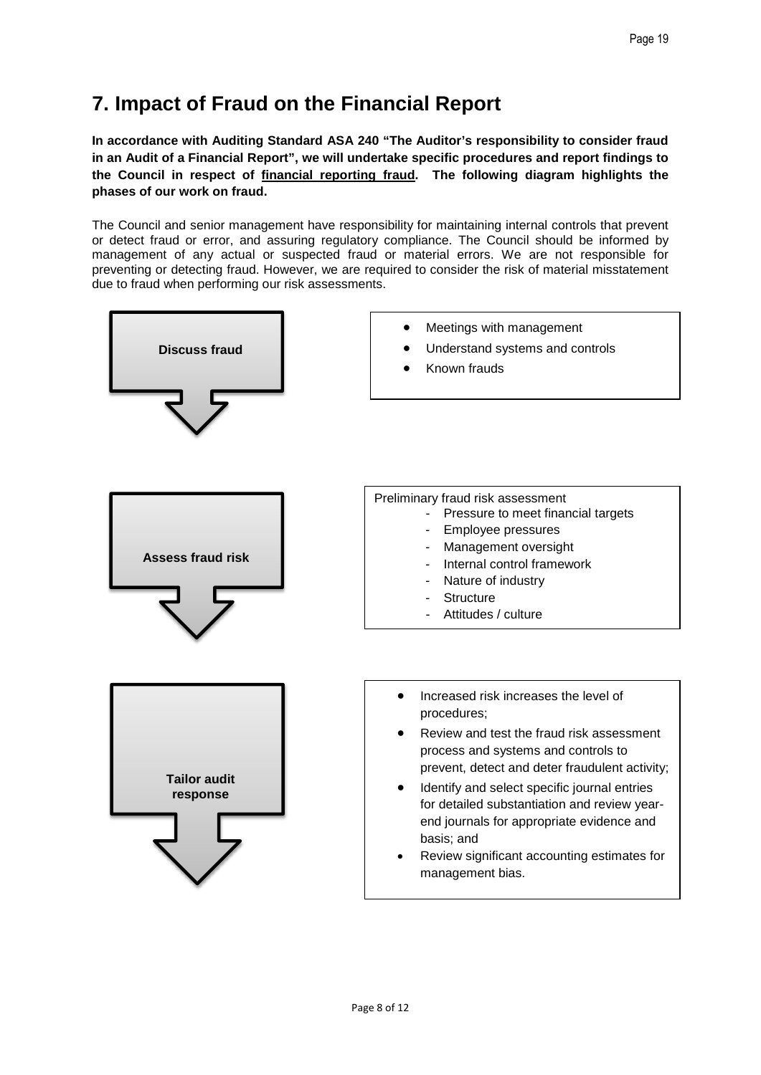### <span id="page-18-0"></span>**7. Impact of Fraud on the Financial Report**

**In accordance with Auditing Standard ASA 240 "The Auditor's responsibility to consider fraud in an Audit of a Financial Report", we will undertake specific procedures and report findings to the Council in respect of financial reporting fraud. The following diagram highlights the phases of our work on fraud.**

The Council and senior management have responsibility for maintaining internal controls that prevent or detect fraud or error, and assuring regulatory compliance. The Council should be informed by management of any actual or suspected fraud or material errors. We are not responsible for preventing or detecting fraud. However, we are required to consider the risk of material misstatement due to fraud when performing our risk assessments.

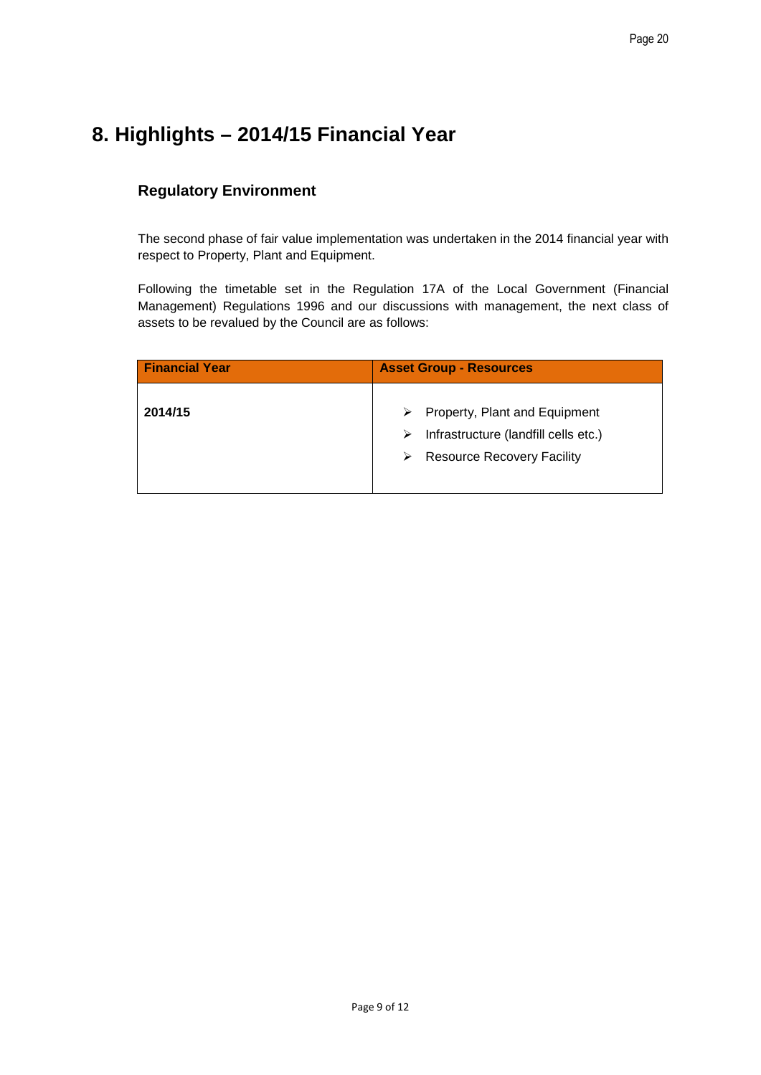### <span id="page-19-0"></span>**8. Highlights – 2014/15 Financial Year**

### **Regulatory Environment**

The second phase of fair value implementation was undertaken in the 2014 financial year with respect to Property, Plant and Equipment.

Following the timetable set in the Regulation 17A of the Local Government (Financial Management) Regulations 1996 and our discussions with management, the next class of assets to be revalued by the Council are as follows:

| <b>Financial Year</b> | <b>Asset Group - Resources</b>                                                                                            |
|-----------------------|---------------------------------------------------------------------------------------------------------------------------|
| 2014/15               | Property, Plant and Equipment<br>➤<br>Infrastructure (landfill cells etc.)<br>➤<br><b>Resource Recovery Facility</b><br>➤ |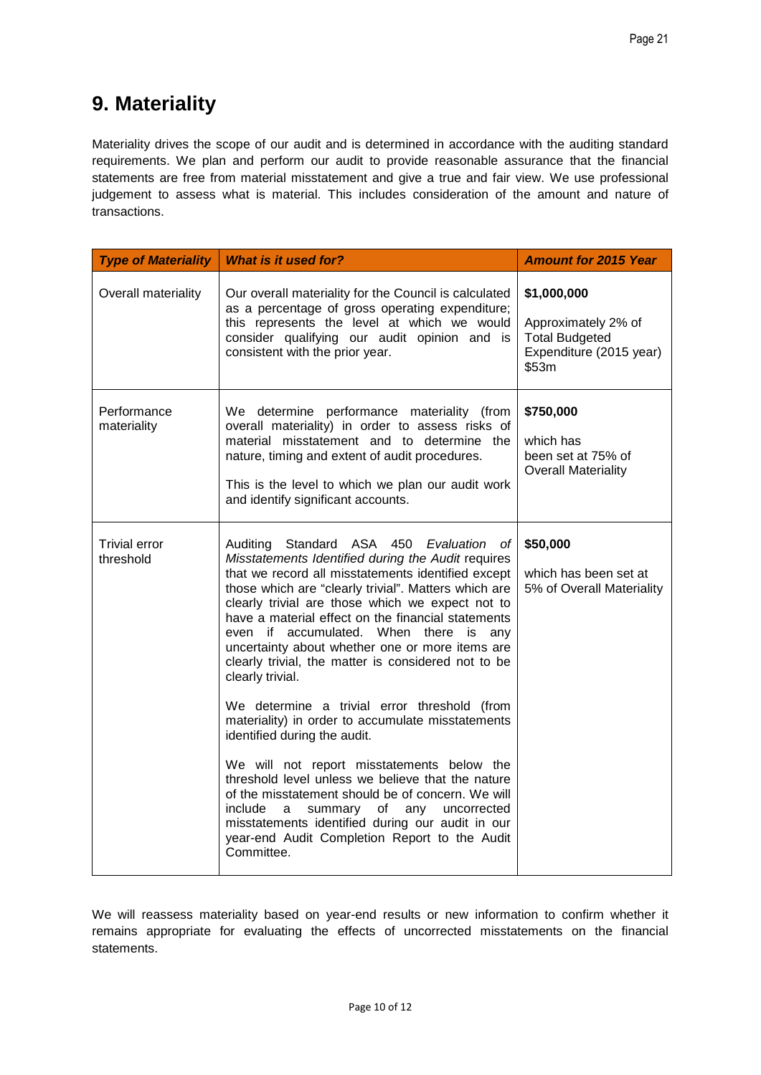### <span id="page-20-0"></span>**9. Materiality**

Materiality drives the scope of our audit and is determined in accordance with the auditing standard requirements. We plan and perform our audit to provide reasonable assurance that the financial statements are free from material misstatement and give a true and fair view. We use professional judgement to assess what is material. This includes consideration of the amount and nature of transactions.

| <b>Type of Materiality</b>        | <b>What is it used for?</b>                                                                                                                                                                                                                                                                                                                                                                                                                                                                                                                                                                                                                                                                                                                                                                                                                                                                                                                                       | <b>Amount for 2015 Year</b>                                                                     |
|-----------------------------------|-------------------------------------------------------------------------------------------------------------------------------------------------------------------------------------------------------------------------------------------------------------------------------------------------------------------------------------------------------------------------------------------------------------------------------------------------------------------------------------------------------------------------------------------------------------------------------------------------------------------------------------------------------------------------------------------------------------------------------------------------------------------------------------------------------------------------------------------------------------------------------------------------------------------------------------------------------------------|-------------------------------------------------------------------------------------------------|
| Overall materiality               | Our overall materiality for the Council is calculated<br>as a percentage of gross operating expenditure;<br>this represents the level at which we would<br>consider qualifying our audit opinion and is<br>consistent with the prior year.                                                                                                                                                                                                                                                                                                                                                                                                                                                                                                                                                                                                                                                                                                                        | \$1,000,000<br>Approximately 2% of<br><b>Total Budgeted</b><br>Expenditure (2015 year)<br>\$53m |
| Performance<br>materiality        | We determine performance materiality (from<br>overall materiality) in order to assess risks of<br>material misstatement and to determine the<br>nature, timing and extent of audit procedures.<br>This is the level to which we plan our audit work<br>and identify significant accounts.                                                                                                                                                                                                                                                                                                                                                                                                                                                                                                                                                                                                                                                                         | \$750,000<br>which has<br>been set at 75% of<br><b>Overall Materiality</b>                      |
| <b>Trivial error</b><br>threshold | Auditing Standard ASA 450 Evaluation<br>of<br>Misstatements Identified during the Audit requires<br>that we record all misstatements identified except<br>those which are "clearly trivial". Matters which are<br>clearly trivial are those which we expect not to<br>have a material effect on the financial statements<br>even if accumulated. When there is<br>any<br>uncertainty about whether one or more items are<br>clearly trivial, the matter is considered not to be<br>clearly trivial.<br>We determine a trivial error threshold (from<br>materiality) in order to accumulate misstatements<br>identified during the audit.<br>We will not report misstatements below the<br>threshold level unless we believe that the nature<br>of the misstatement should be of concern. We will<br>include<br>summary of any uncorrected<br>a<br>misstatements identified during our audit in our<br>year-end Audit Completion Report to the Audit<br>Committee. | \$50,000<br>which has been set at<br>5% of Overall Materiality                                  |

We will reassess materiality based on year-end results or new information to confirm whether it remains appropriate for evaluating the effects of uncorrected misstatements on the financial statements.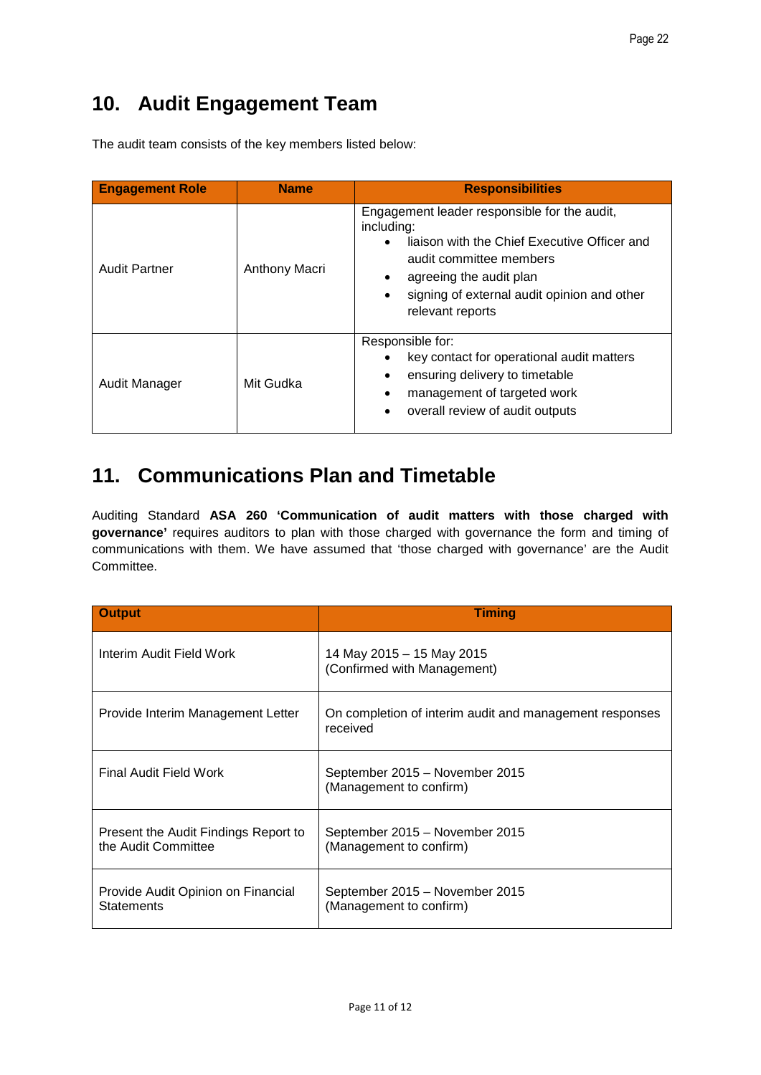### <span id="page-21-0"></span>**10. Audit Engagement Team**

The audit team consists of the key members listed below:

| <b>Engagement Role</b> | <b>Name</b>   | <b>Responsibilities</b>                                                                                                                                                                                                             |  |  |  |  |
|------------------------|---------------|-------------------------------------------------------------------------------------------------------------------------------------------------------------------------------------------------------------------------------------|--|--|--|--|
| <b>Audit Partner</b>   | Anthony Macri | Engagement leader responsible for the audit,<br>including:<br>liaison with the Chief Executive Officer and<br>audit committee members<br>agreeing the audit plan<br>signing of external audit opinion and other<br>relevant reports |  |  |  |  |
| Audit Manager          | Mit Gudka     | Responsible for:<br>key contact for operational audit matters<br>ensuring delivery to timetable<br>management of targeted work<br>overall review of audit outputs                                                                   |  |  |  |  |

### <span id="page-21-1"></span>**11. Communications Plan and Timetable**

Auditing Standard **ASA 260 'Communication of audit matters with those charged with governance'** requires auditors to plan with those charged with governance the form and timing of communications with them. We have assumed that 'those charged with governance' are the Audit Committee.

| <b>Output</b>                                               | <b>Timing</b>                                                       |
|-------------------------------------------------------------|---------------------------------------------------------------------|
| Interim Audit Field Work                                    | 14 May 2015 - 15 May 2015<br>(Confirmed with Management)            |
| Provide Interim Management Letter                           | On completion of interim audit and management responses<br>received |
| <b>Final Audit Field Work</b>                               | September 2015 - November 2015<br>(Management to confirm)           |
| Present the Audit Findings Report to<br>the Audit Committee | September 2015 – November 2015<br>(Management to confirm)           |
| Provide Audit Opinion on Financial<br><b>Statements</b>     | September 2015 - November 2015<br>(Management to confirm)           |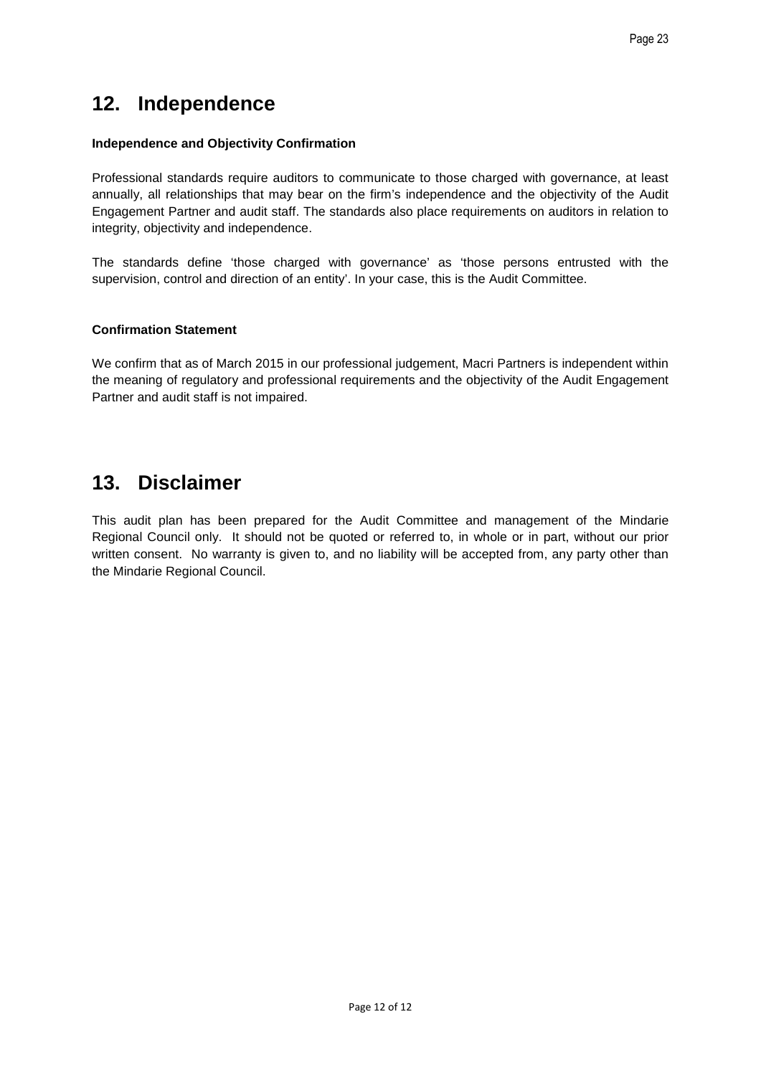### <span id="page-22-0"></span>**12. Independence**

### **Independence and Objectivity Confirmation**

Professional standards require auditors to communicate to those charged with governance, at least annually, all relationships that may bear on the firm's independence and the objectivity of the Audit Engagement Partner and audit staff. The standards also place requirements on auditors in relation to integrity, objectivity and independence.

The standards define 'those charged with governance' as 'those persons entrusted with the supervision, control and direction of an entity'. In your case, this is the Audit Committee.

### **Confirmation Statement**

We confirm that as of March 2015 in our professional judgement, Macri Partners is independent within the meaning of regulatory and professional requirements and the objectivity of the Audit Engagement Partner and audit staff is not impaired.

### <span id="page-22-1"></span>**13. Disclaimer**

This audit plan has been prepared for the Audit Committee and management of the Mindarie Regional Council only. It should not be quoted or referred to, in whole or in part, without our prior written consent. No warranty is given to, and no liability will be accepted from, any party other than the Mindarie Regional Council.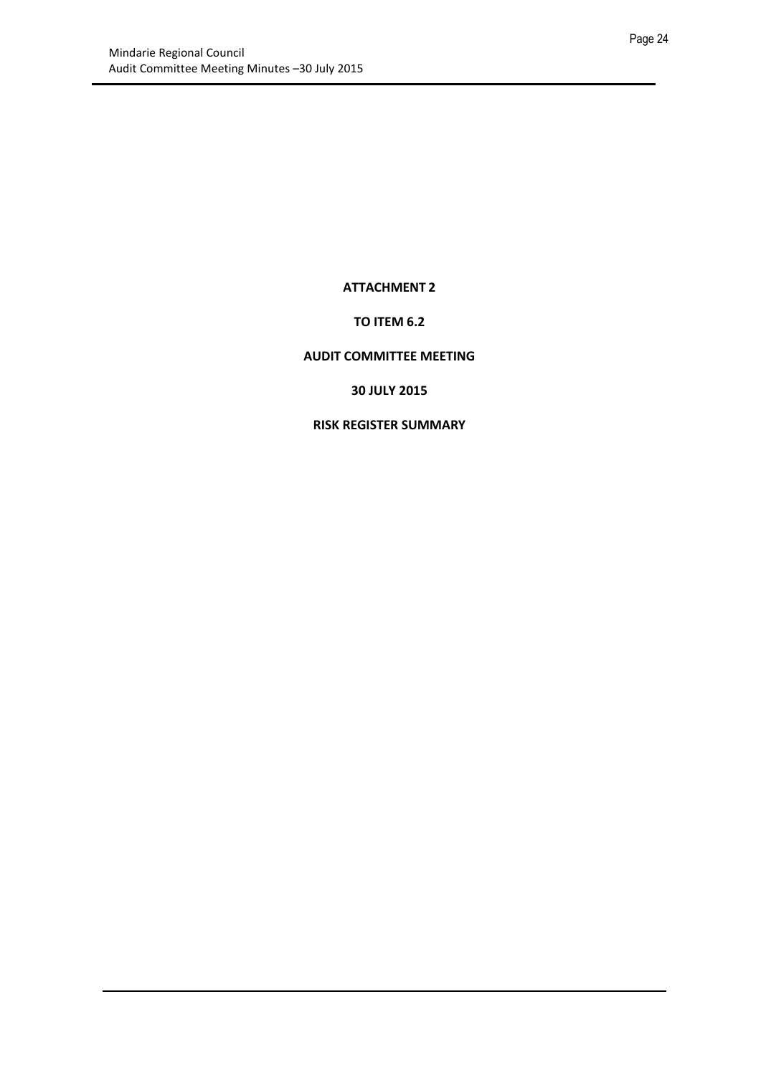**ATTACHMENT 2** 

### **TO ITEM 6.2**

### <span id="page-23-0"></span>**AUDIT COMMITTEE MEETING**

**30 JULY 2015**

**RISK REGISTER SUMMARY**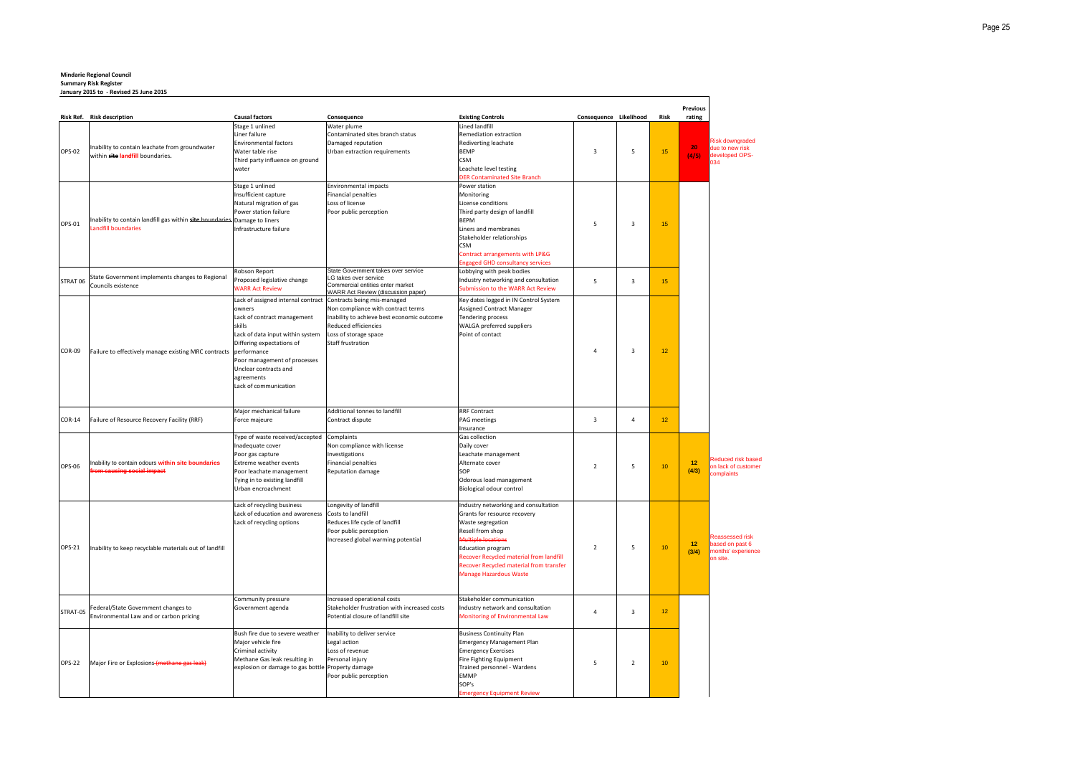#### **Mindarie Regional Council Summary Risk Register January 2015 to - Revised 25 June 2015**

|               | Risk Ref. Risk description                                                                       | <b>Causal factors</b>                                                                                                                                                                                                                                  | Consequence                                                                                                                                                                                  | <b>Existing Controls</b>                                                                                                                                                                                                                                                               | Consequence Likelihood |                         | Risk            | <b>Previous</b><br>rating |                                                                             |
|---------------|--------------------------------------------------------------------------------------------------|--------------------------------------------------------------------------------------------------------------------------------------------------------------------------------------------------------------------------------------------------------|----------------------------------------------------------------------------------------------------------------------------------------------------------------------------------------------|----------------------------------------------------------------------------------------------------------------------------------------------------------------------------------------------------------------------------------------------------------------------------------------|------------------------|-------------------------|-----------------|---------------------------|-----------------------------------------------------------------------------|
| <b>OPS-02</b> | Inability to contain leachate from groundwater<br>within site landfill boundaries.               | Stage 1 unlined<br>Liner failure<br><b>Environmental factors</b><br>Water table rise<br>Third party influence on ground<br>water                                                                                                                       | Water plume<br>Contaminated sites branch status<br>Damaged reputation<br>Urban extraction requirements                                                                                       | Lined landfill<br>Remediation extraction<br>Rediverting leachate<br><b>BEMP</b><br><b>CSM</b><br>Leachate level testing<br><b>DER Contaminated Site Branch</b>                                                                                                                         | 3                      | 5                       | 15              | 20<br>(4/5)               | <b>Risk downgraded</b><br>due to new risk<br>developed OPS-<br>034          |
| OPS-01        | Inability to contain landfill gas within site boundaries Damage to liners<br>Landfill boundaries | Stage 1 unlined<br>Insufficient capture<br>Natural migration of gas<br>Power station failure<br>Infrastructure failure                                                                                                                                 | <b>Environmental impacts</b><br><b>Financial penalties</b><br>Loss of license<br>Poor public perception                                                                                      | Power station<br>Monitoring<br>License conditions<br>Third party design of landfill<br><b>BEPM</b><br>Liners and membranes<br>Stakeholder relationships<br>CSM<br>Contract arrangements with LP&G<br><b>Engaged GHD consultancy services</b>                                           | 5                      | $\overline{\mathbf{3}}$ | 15              |                           |                                                                             |
| STRAT 06      | State Government implements changes to Regional<br>Councils existence                            | Robson Report<br>Proposed legislative change<br><b>WARR Act Review</b>                                                                                                                                                                                 | State Government takes over service<br>LG takes over service<br>Commercial entities enter market<br>WARR Act Review (discussion paper)                                                       | Lobbying with peak bodies<br>Industry networking and consultation<br>Submission to the WARR Act Review                                                                                                                                                                                 | 5                      | $\overline{\mathbf{3}}$ | 15              |                           |                                                                             |
| COR-09        | Failure to effectively manage existing MRC contracts performance                                 | Lack of assigned internal contract<br>owners<br>Lack of contract management<br>skills<br>Lack of data input within system<br>Differing expectations of<br>Poor management of processes<br>Unclear contracts and<br>agreements<br>Lack of communication | Contracts being mis-managed<br>Non compliance with contract terms<br>Inability to achieve best economic outcome<br>Reduced efficiencies<br>Loss of storage space<br><b>Staff frustration</b> | Key dates logged in IN Control System<br><b>Assigned Contract Manager</b><br>Tendering process<br><b>WALGA</b> preferred suppliers<br>Point of contact                                                                                                                                 | $\overline{4}$         | $\overline{\mathbf{3}}$ | 12              |                           |                                                                             |
| <b>COR-14</b> | Failure of Resource Recovery Facility (RRF)                                                      | Major mechanical failure<br>Force majeure                                                                                                                                                                                                              | Additional tonnes to landfill<br>Contract dispute                                                                                                                                            | <b>RRF Contract</b><br><b>PAG</b> meetings<br>Insurance                                                                                                                                                                                                                                | 3                      | $\overline{4}$          | 12 <sup>°</sup> |                           |                                                                             |
| <b>OPS-06</b> | Inability to contain odours within site boundaries<br>from causing social impact                 | Type of waste received/accepted<br>Inadequate cover<br>Poor gas capture<br>Extreme weather events<br>Poor leachate management<br>Tying in to existing landfill<br>Urban encroachment                                                                   | Complaints<br>Non compliance with license<br>Investigations<br>Financial penalties<br>Reputation damage                                                                                      | Gas collection<br>Daily cover<br>Leachate management<br>Alternate cover<br>SOP<br>Odorous load management<br>Biological odour control                                                                                                                                                  | $\overline{2}$         | 5                       | 10              | 12<br>(4/3)               | Reduced risk based<br>on lack of customer<br>complaints                     |
| OPS-21        | Inability to keep recyclable materials out of landfill                                           | Lack of recycling business<br>Lack of education and awareness<br>Lack of recycling options                                                                                                                                                             | Longevity of landfill<br>Costs to landfill<br>Reduces life cycle of landfill<br>Poor public perception<br>Increased global warming potential                                                 | Industry networking and consultation<br>Grants for resource recovery<br>Waste segregation<br>Resell from shop<br>Multiple locations<br><b>Education program</b><br>Recover Recycled material from landfill<br>Recover Recycled material from transfer<br><b>Manage Hazardous Waste</b> | $\overline{2}$         | 5                       | 10 <sub>1</sub> | 12<br>(3/4)               | <b>Reassessed risk</b><br>based on past 6<br>months' experience<br>on site. |
| STRAT-05      | Federal/State Government changes to<br>Environmental Law and or carbon pricing                   | Community pressure<br>Government agenda                                                                                                                                                                                                                | Increased operational costs<br>Stakeholder frustration with increased costs<br>Potential closure of landfill site                                                                            | Stakeholder communication<br>Industry network and consultation<br>Monitoring of Environmental Law                                                                                                                                                                                      | 4                      | $\overline{\mathbf{3}}$ | 12              |                           |                                                                             |
| <b>OPS-22</b> | Major Fire or Explosions (methane gas leak)                                                      | Bush fire due to severe weather<br>Major vehicle fire<br>Criminal activity<br>Methane Gas leak resulting in<br>explosion or damage to gas bottle                                                                                                       | Inability to deliver service<br>Legal action<br>Loss of revenue<br>Personal injury<br>Property damage<br>Poor public perception                                                              | <b>Business Continuity Plan</b><br><b>Emergency Management Plan</b><br><b>Emergency Exercises</b><br>Fire Fighting Equipment<br>Trained personnel - Wardens<br><b>EMMP</b><br>SOP's<br><b>Emergency Equipment Review</b>                                                               | 5                      | $\overline{2}$          | 10 <sub>1</sub> |                           |                                                                             |

Page 25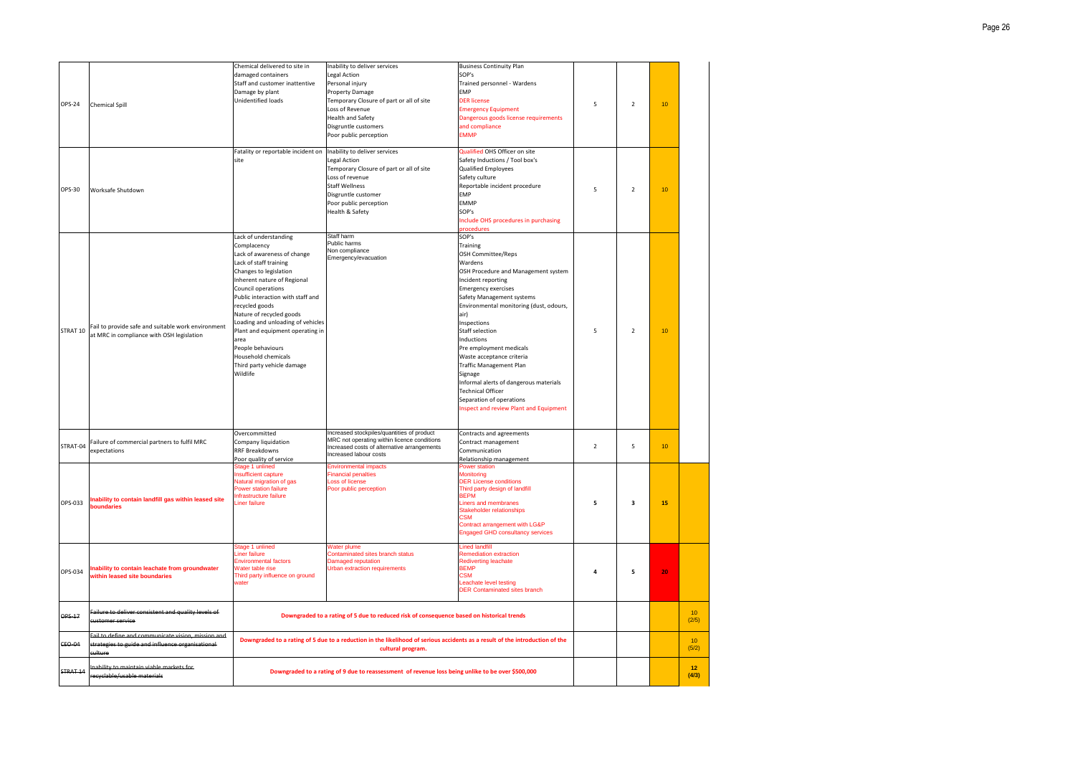| OPS-24              | <b>Chemical Spill</b>                                                                                             | Chemical delivered to site in<br>damaged containers<br>Staff and customer inattentive<br>Damage by plant<br><b>Unidentified loads</b><br>Fatality or reportable incident on Inability to deliver services                                                                                                                                                                                                                                     | Inability to deliver services<br>Legal Action<br>Personal injury<br><b>Property Damage</b><br>Temporary Closure of part or all of site<br>Loss of Revenue<br><b>Health and Safety</b><br>Disgruntle customers<br>Poor public perception | <b>Business Continuity Plan</b><br>SOP's<br>Trained personnel - Wardens<br><b>EMP</b><br><b>DER license</b><br><b>Emergency Equipment</b><br>Dangerous goods license requirements<br>and compliance<br><b>EMMP</b><br>Qualified OHS Officer on site                                                                                                                                                                                                                                                                            | 5              | $\overline{2}$          | 10 <sub>1</sub> |             |
|---------------------|-------------------------------------------------------------------------------------------------------------------|-----------------------------------------------------------------------------------------------------------------------------------------------------------------------------------------------------------------------------------------------------------------------------------------------------------------------------------------------------------------------------------------------------------------------------------------------|-----------------------------------------------------------------------------------------------------------------------------------------------------------------------------------------------------------------------------------------|--------------------------------------------------------------------------------------------------------------------------------------------------------------------------------------------------------------------------------------------------------------------------------------------------------------------------------------------------------------------------------------------------------------------------------------------------------------------------------------------------------------------------------|----------------|-------------------------|-----------------|-------------|
| <b>OPS-30</b>       | Worksafe Shutdown                                                                                                 | site                                                                                                                                                                                                                                                                                                                                                                                                                                          | <b>Legal Action</b><br>Temporary Closure of part or all of site<br>Loss of revenue<br><b>Staff Wellness</b><br>Disgruntle customer<br>Poor public perception<br><b>Health &amp; Safety</b>                                              | Safety Inductions / Tool box's<br><b>Qualified Employees</b><br>Safety culture<br>Reportable incident procedure<br><b>EMP</b><br><b>EMMP</b><br>SOP's<br>Include OHS procedures in purchasing<br>orocedures                                                                                                                                                                                                                                                                                                                    | .5             | $\overline{2}$          | 10 <sup>°</sup> |             |
| STRAT 10            | Fail to provide safe and suitable work environment<br>at MRC in compliance with OSH legislation                   | Lack of understanding<br>Complacency<br>Lack of awareness of change<br>Lack of staff training<br>Changes to legislation<br>Inherent nature of Regional<br><b>Council operations</b><br>Public interaction with staff and<br>recycled goods<br>Nature of recycled goods<br>Loading and unloading of vehicles<br>Plant and equipment operating in<br>area<br>People behaviours<br>Household chemicals<br>Third party vehicle damage<br>Wildlife | Staff harm<br>Public harms<br>Non compliance<br>Emergency/evacuation                                                                                                                                                                    | SOP's<br>Training<br>OSH Committee/Reps<br>Wardens<br>OSH Procedure and Management system<br>Incident reporting<br><b>Emergency exercises</b><br>Safety Management systems<br>Environmental monitoring (dust, odours,<br>air)<br>Inspections<br>Staff selection<br>Inductions<br>Pre employment medicals<br>Waste acceptance criteria<br><b>Traffic Management Plan</b><br>Signage<br>Informal alerts of dangerous materials<br><b>Technical Officer</b><br>Separation of operations<br>Inspect and review Plant and Equipment | 5              | $\overline{2}$          | 10 <sup>°</sup> |             |
| STRAT-04            | Failure of commercial partners to fulfil MRC<br>expectations                                                      | Overcommitted<br>Company liquidation<br><b>RRF Breakdowns</b><br>Poor quality of service                                                                                                                                                                                                                                                                                                                                                      | Increased stockpiles/quantities of product<br>MRC not operating within licence conditions<br>Increased costs of alternative arrangements<br>Increased labour costs                                                                      | Contracts and agreements<br>Contract management<br>Communication<br>Relationship management                                                                                                                                                                                                                                                                                                                                                                                                                                    | $\overline{2}$ | 5                       | 10              |             |
| OPS-033             | Inability to contain landfill gas within leased site<br>boundaries                                                | Stage 1 unlined<br>Insufficient capture<br>Natural migration of gas<br>Power station failure<br>Infrastructure failure<br>iner failure                                                                                                                                                                                                                                                                                                        | <b>Environmental impacts</b><br><b>Financial penalties</b><br>Loss of license<br>Poor public perception                                                                                                                                 | Power station<br>Monitoring<br><b>DER License conditions</b><br>Third party design of landfill<br><b>BEPM</b><br><b>Liners and membranes</b><br><b>Stakeholder relationships</b><br><b>CSM</b><br>Contract arrangement with LG&P<br><b>Engaged GHD consultancy services</b>                                                                                                                                                                                                                                                    | 5              | $\overline{\mathbf{3}}$ | 15              |             |
| OPS-034             | Inability to contain leachate from groundwater<br>within leased site boundaries                                   | Stage 1 unlined<br>Liner failure<br><b>Environmental factors</b><br>Water table rise<br>Third party influence on ground<br>water                                                                                                                                                                                                                                                                                                              | Water plume<br>Contaminated sites branch status<br>Damaged reputation<br>Urban extraction requirements                                                                                                                                  | <b>Lined landfill</b><br><b>Remediation extraction</b><br><b>Rediverting leachate</b><br><b>BEMP</b><br><b>CSM</b><br>Leachate level testing<br><b>DER Contaminated sites branch</b>                                                                                                                                                                                                                                                                                                                                           | 4              | 5                       | 20              |             |
| OPS-17              | Failure to deliver consistent and quality levels of<br>customer service                                           | Downgraded to a rating of 5 due to reduced risk of consequence based on historical trends                                                                                                                                                                                                                                                                                                                                                     |                                                                                                                                                                                                                                         |                                                                                                                                                                                                                                                                                                                                                                                                                                                                                                                                |                |                         |                 | 10<br>(2/5) |
| CEO-04              | Fail to define and communicate vision, mission and<br>strategies to guide and influence organisational<br>culture |                                                                                                                                                                                                                                                                                                                                                                                                                                               | Downgraded to a rating of 5 due to a reduction in the likelihood of serious accidents as a result of the introduction of the<br>cultural program.                                                                                       |                                                                                                                                                                                                                                                                                                                                                                                                                                                                                                                                |                |                         |                 | 10<br>(5/2) |
| STRAT <sub>14</sub> | Inability to maintain viable markets for<br>recyclable/usable materials                                           | Downgraded to a rating of 9 due to reassessment of revenue loss being unlike to be over \$500,000                                                                                                                                                                                                                                                                                                                                             |                                                                                                                                                                                                                                         |                                                                                                                                                                                                                                                                                                                                                                                                                                                                                                                                |                |                         |                 | 12<br>(4/3) |

Page 26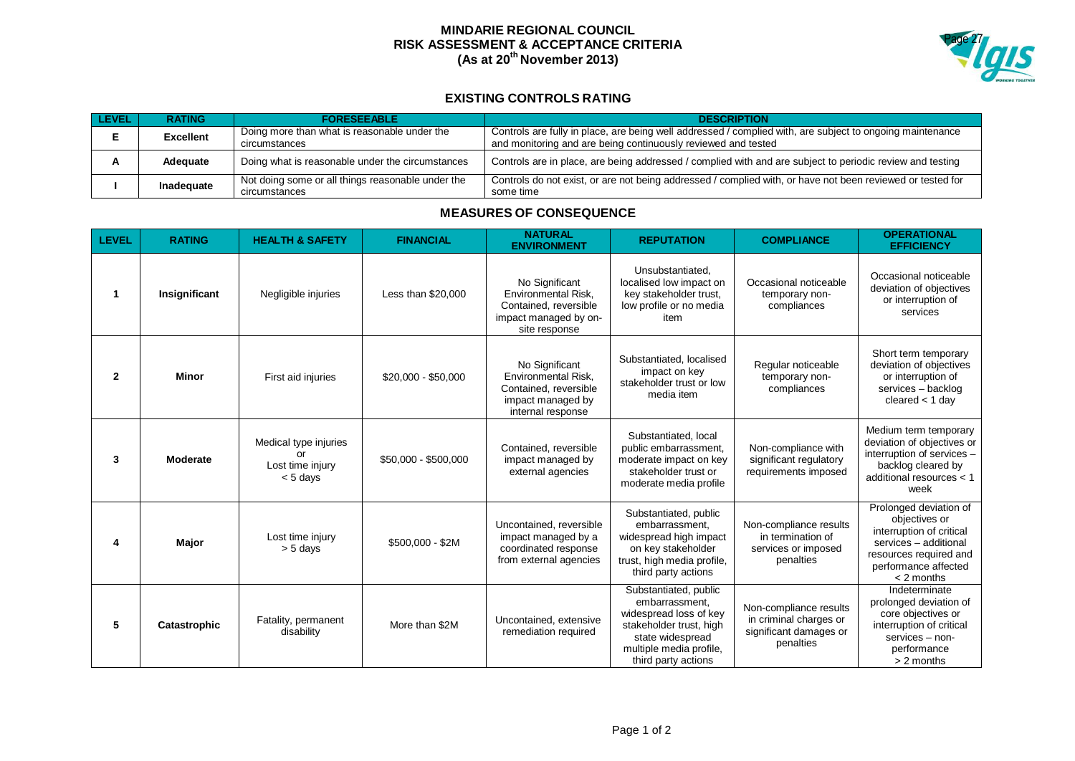### **MINDARIE REGIONAL COUNCIL RISK ASSESSMENT & ACCEPTANCE CRITERIA (As at 20th November 2013)**



### **EXISTING CONTROLS RATING**

| <b>LEVEL</b> | <b>RATING</b>    | <b>FORESEEABLE</b>                                                 | <b>DESCRIPTION</b>                                                                                                                                                         |
|--------------|------------------|--------------------------------------------------------------------|----------------------------------------------------------------------------------------------------------------------------------------------------------------------------|
|              | <b>Excellent</b> | Doing more than what is reasonable under the<br>circumstances      | Controls are fully in place, are being well addressed / complied with, are subject to ongoing maintenance<br>and monitoring and are being continuously reviewed and tested |
| -            | Adequate         | Doing what is reasonable under the circumstances                   | Controls are in place, are being addressed / complied with and are subject to periodic review and testing                                                                  |
|              | Inadequate       | Not doing some or all things reasonable under the<br>circumstances | Controls do not exist, or are not being addressed / complied with, or have not been reviewed or tested for<br>some time                                                    |

### **MEASURES OF CONSEQUENCE**

| <b>LEVEL</b> | <b>RATING</b> | <b>HEALTH &amp; SAFETY</b>                                  | <b>FINANCIAL</b>     | <b>NATURAL</b><br><b>ENVIRONMENT</b>                                                                     | <b>REPUTATION</b>                                                                                                                                                  | <b>COMPLIANCE</b>                                                                       | <b>OPERATIONAL</b><br><b>EFFICIENCY</b>                                                                                                                        |
|--------------|---------------|-------------------------------------------------------------|----------------------|----------------------------------------------------------------------------------------------------------|--------------------------------------------------------------------------------------------------------------------------------------------------------------------|-----------------------------------------------------------------------------------------|----------------------------------------------------------------------------------------------------------------------------------------------------------------|
|              | Insignificant | Negligible injuries                                         | Less than \$20,000   | No Significant<br>Environmental Risk,<br>Contained, reversible<br>impact managed by on-<br>site response | Unsubstantiated.<br>localised low impact on<br>key stakeholder trust,<br>low profile or no media<br>item                                                           | Occasional noticeable<br>temporary non-<br>compliances                                  | Occasional noticeable<br>deviation of objectives<br>or interruption of<br>services                                                                             |
| $\mathbf{2}$ | <b>Minor</b>  | First aid injuries                                          | $$20,000 - $50,000$  | No Significant<br>Environmental Risk.<br>Contained, reversible<br>impact managed by<br>internal response | Substantiated, localised<br>impact on key<br>stakeholder trust or low<br>media item                                                                                | Regular noticeable<br>temporary non-<br>compliances                                     | Short term temporary<br>deviation of objectives<br>or interruption of<br>services - backlog<br>cleared $<$ 1 day                                               |
| 3            | Moderate      | Medical type injuries<br>Ωr<br>Lost time injury<br>< 5 days | \$50,000 - \$500,000 | Contained, reversible<br>impact managed by<br>external agencies                                          | Substantiated, local<br>public embarrassment,<br>moderate impact on key<br>stakeholder trust or<br>moderate media profile                                          | Non-compliance with<br>significant regulatory<br>requirements imposed                   | Medium term temporary<br>deviation of objectives or<br>interruption of services -<br>backlog cleared by<br>additional resources < 1<br>week                    |
| 4            | <b>Major</b>  | Lost time injury<br>$> 5$ days                              | \$500,000 - \$2M     | Uncontained, reversible<br>impact managed by a<br>coordinated response<br>from external agencies         | Substantiated, public<br>embarrassment.<br>widespread high impact<br>on key stakeholder<br>trust, high media profile,<br>third party actions                       | Non-compliance results<br>in termination of<br>services or imposed<br>penalties         | Prolonged deviation of<br>objectives or<br>interruption of critical<br>services - additional<br>resources required and<br>performance affected<br>$< 2$ months |
| 5            | Catastrophic  | Fatality, permanent<br>disability                           | More than \$2M       | Uncontained, extensive<br>remediation required                                                           | Substantiated, public<br>embarrassment,<br>widespread loss of key<br>stakeholder trust, high<br>state widespread<br>multiple media profile,<br>third party actions | Non-compliance results<br>in criminal charges or<br>significant damages or<br>penalties | Indeterminate<br>prolonged deviation of<br>core objectives or<br>interruption of critical<br>$s$ ervices – non-<br>performance<br>$> 2$ months                 |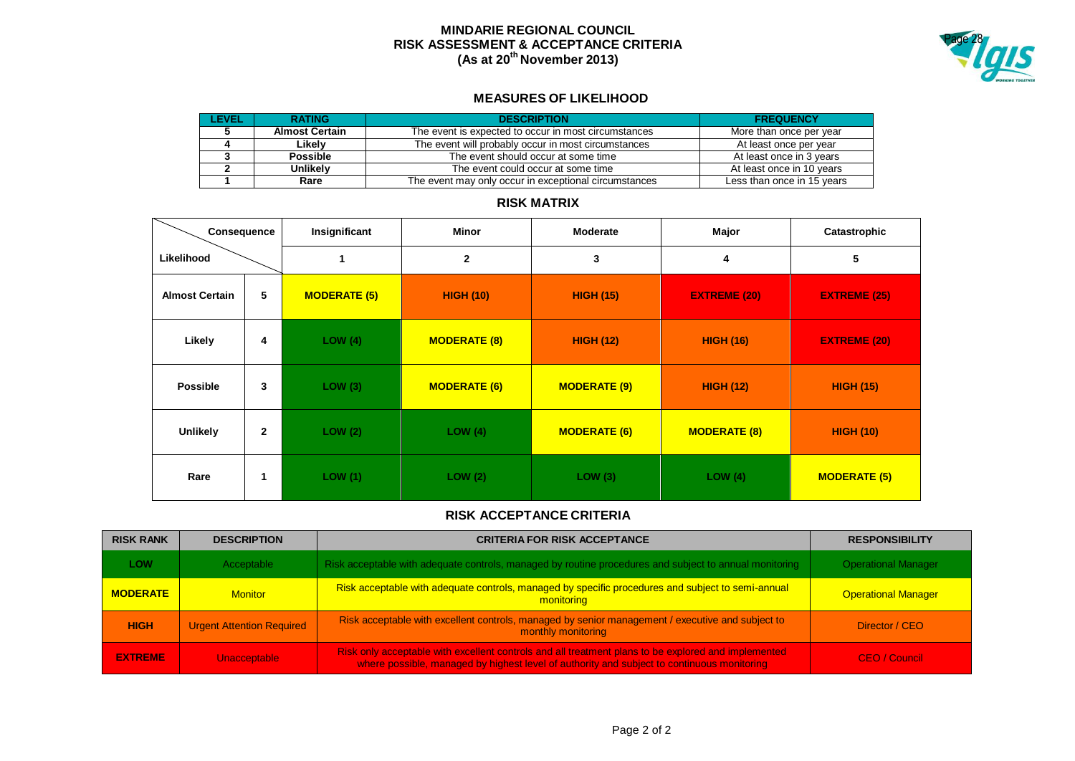### **MINDARIE REGIONAL COUNCIL RISK ASSESSMENT & ACCEPTANCE CRITERIA (As at 20th November 2013)**



### **MEASURES OF LIKELIHOOD**

| LEVEL | <b>RATING</b>         | <b>DESCRIPTION</b>                                    | <b>FREQUENCY</b>           |  |
|-------|-----------------------|-------------------------------------------------------|----------------------------|--|
|       | <b>Almost Certain</b> | The event is expected to occur in most circumstances  | More than once per year    |  |
|       | Likelv                | The event will probably occur in most circumstances   | At least once per year     |  |
|       | <b>Possible</b>       | The event should occur at some time                   | At least once in 3 years   |  |
|       | Unlikelv              | The event could occur at some time                    | At least once in 10 years  |  |
|       | Rare                  | The event may only occur in exceptional circumstances | Less than once in 15 years |  |

### **RISK MATRIX**

| Consequence           |              | Insignificant       | <b>Minor</b>        | <b>Moderate</b>     | <b>Major</b>        | Catastrophic        |  |
|-----------------------|--------------|---------------------|---------------------|---------------------|---------------------|---------------------|--|
| Likelihood            |              |                     | $\mathbf{2}$        | 3                   | 4                   | 5                   |  |
| <b>Almost Certain</b> | 5            | <b>MODERATE (5)</b> | <b>HIGH (10)</b>    | <b>HIGH (15)</b>    | <b>EXTREME (20)</b> | <b>EXTREME (25)</b> |  |
| Likely                | 4            | LOW $(4)$           | <b>MODERATE (8)</b> | <b>HIGH (12)</b>    | <b>HIGH (16)</b>    | <b>EXTREME (20)</b> |  |
| <b>Possible</b>       | 3            | LOW $(3)$           | <b>MODERATE (6)</b> | <b>MODERATE (9)</b> | <b>HIGH (12)</b>    | <b>HIGH (15)</b>    |  |
| <b>Unlikely</b>       | $\mathbf{2}$ | LOW(2)              | LOW(4)              | <b>MODERATE (6)</b> | <b>MODERATE (8)</b> | <b>HIGH (10)</b>    |  |
| Rare                  | 1            | LOW(1)              | LOW(2)              | LOW(3)              | LOW $(4)$           | <b>MODERATE (5)</b> |  |

### **RISK ACCEPTANCE CRITERIA**

| <b>RISK RANK</b> | <b>DESCRIPTION</b>               | <b>CRITERIA FOR RISK ACCEPTANCE</b>                                                                                                                                                               | <b>RESPONSIBILITY</b>      |
|------------------|----------------------------------|---------------------------------------------------------------------------------------------------------------------------------------------------------------------------------------------------|----------------------------|
| LOW              | Acceptable                       | Risk acceptable with adequate controls, managed by routine procedures and subject to annual monitoring                                                                                            | <b>Operational Manager</b> |
| <b>MODERATE</b>  | <b>Monitor</b>                   | Risk acceptable with adequate controls, managed by specific procedures and subject to semi-annual<br>monitoring                                                                                   | <b>Operational Manager</b> |
| <b>HIGH</b>      | <b>Urgent Attention Required</b> | Risk acceptable with excellent controls, managed by senior management / executive and subject to<br>monthly monitoring                                                                            | Director / CEO             |
| <b>EXTREME</b>   | <b>Unacceptable</b>              | Risk only acceptable with excellent controls and all treatment plans to be explored and implemented<br>where possible, managed by highest level of authority and subject to continuous monitoring | CEO / Council              |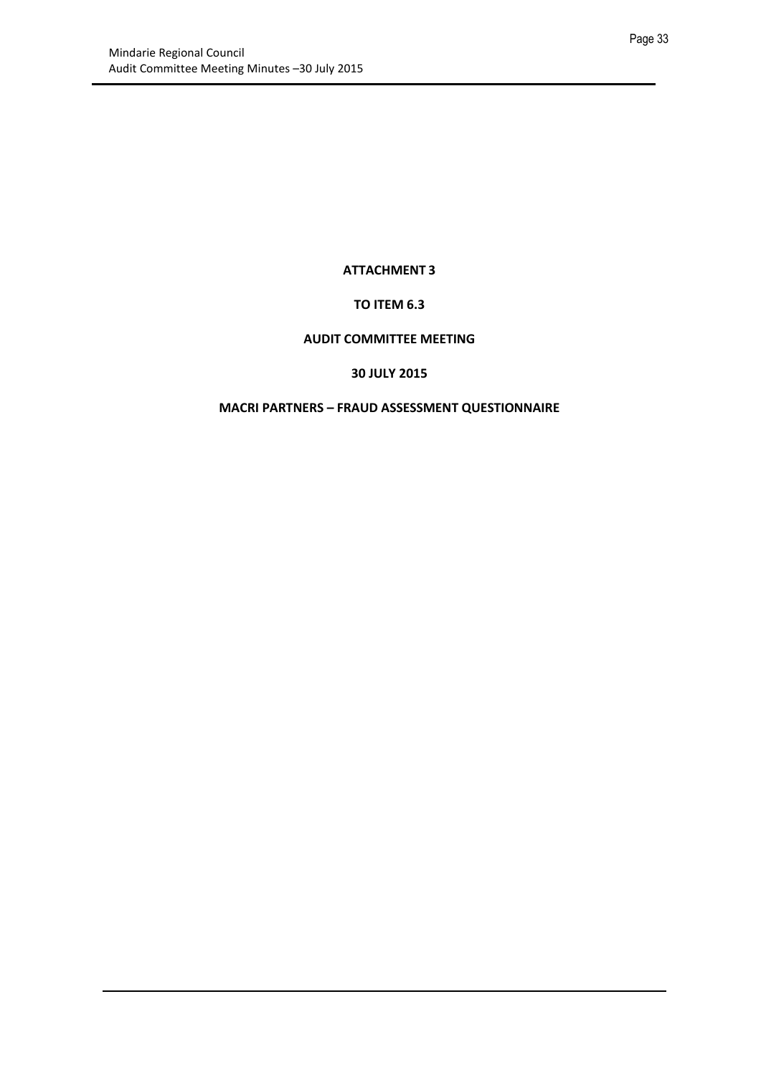**ATTACHMENT 3** 

### **TO ITEM 6.3**

### **AUDIT COMMITTEE MEETING**

### **30 JULY 2015**

### <span id="page-28-0"></span>**MACRI PARTNERS – FRAUD ASSESSMENT QUESTIONNAIRE**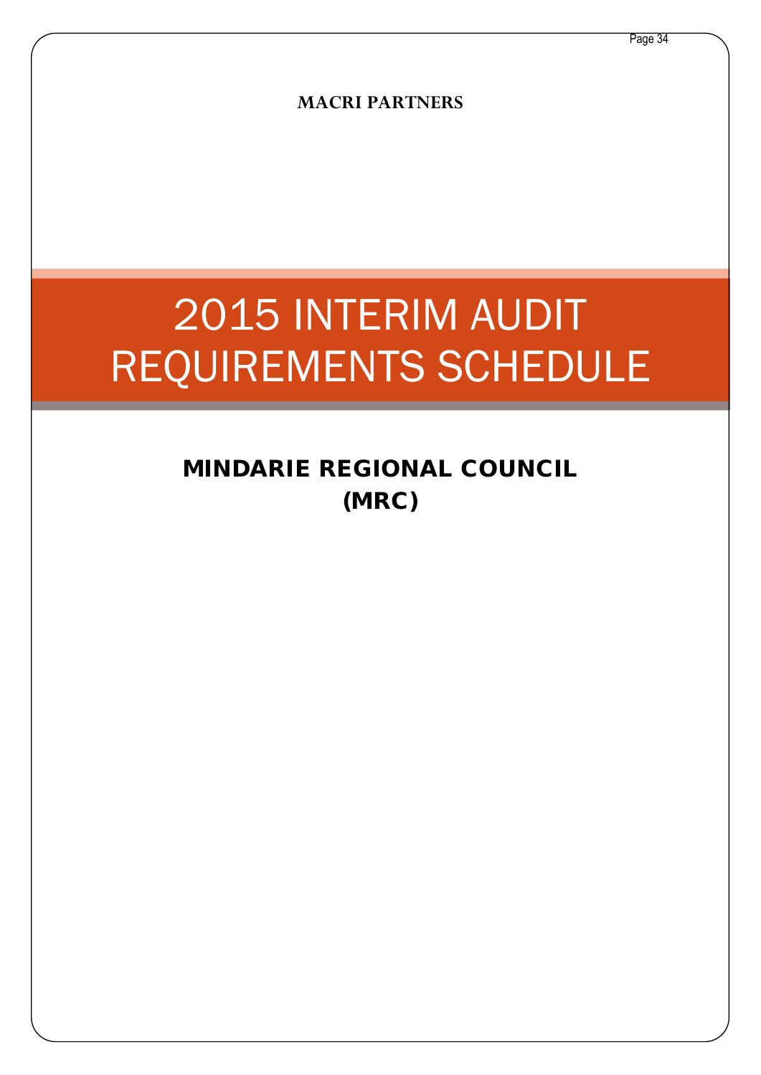**MACRI PARTNERS**

# 2015 INTERIM AUDIT REQUIREMENTS SCHEDULE

MINDARIE REGIONAL COUNCIL (MRC)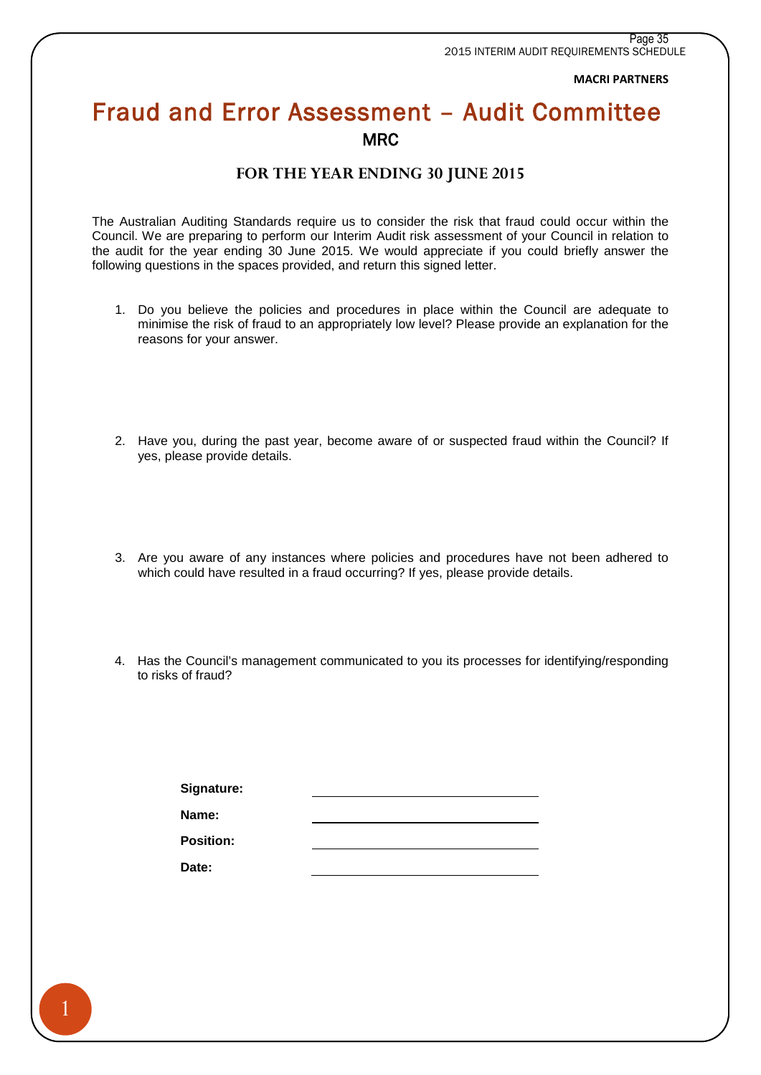**MACRI PARTNERS**

# Fraud and Error Assessment - Audit Committee

### **FOR THE YEAR ENDING 30 JUNE 2015**

The Australian Auditing Standards require us to consider the risk that fraud could occur within the Council. We are preparing to perform our Interim Audit risk assessment of your Council in relation to the audit for the year ending 30 June 2015. We would appreciate if you could briefly answer the following questions in the spaces provided, and return this signed letter.

- 1. Do you believe the policies and procedures in place within the Council are adequate to minimise the risk of fraud to an appropriately low level? Please provide an explanation for the reasons for your answer.
- 2. Have you, during the past year, become aware of or suspected fraud within the Council? If yes, please provide details.
- 3. Are you aware of any instances where policies and procedures have not been adhered to which could have resulted in a fraud occurring? If yes, please provide details.
- 4. Has the Council's management communicated to you its processes for identifying/responding to risks of fraud?

| Signature:       |  |
|------------------|--|
| Name:            |  |
| <b>Position:</b> |  |
| Date:            |  |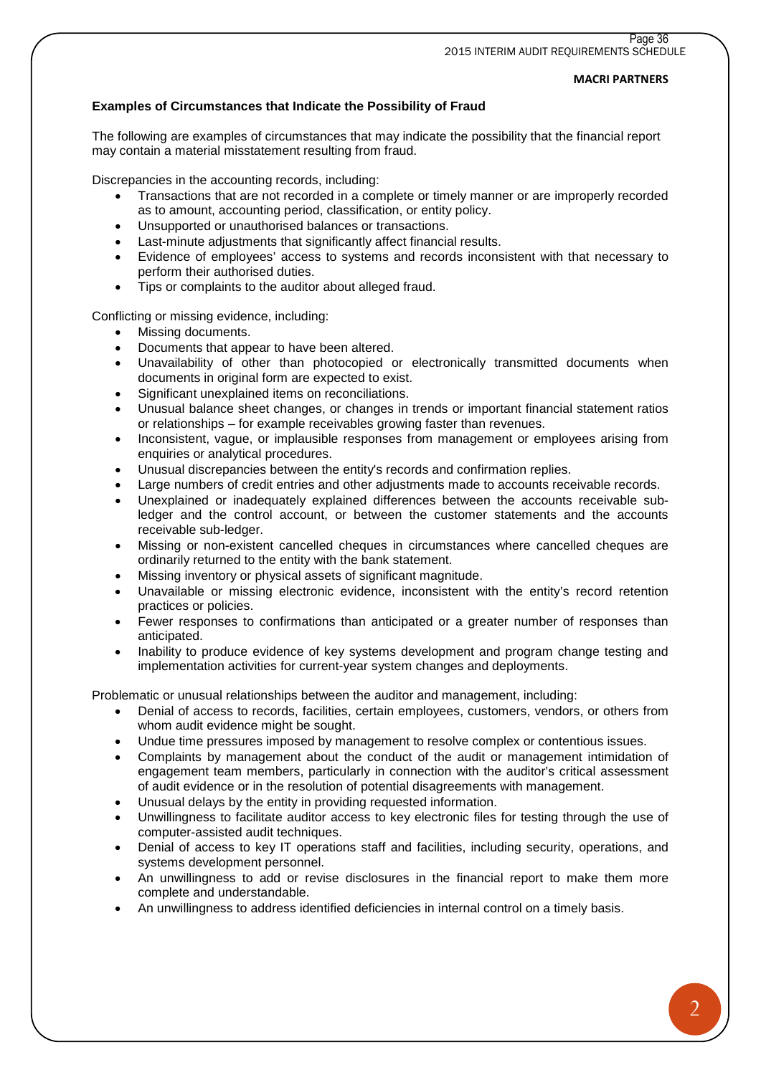#### **MACRI PARTNERS**

#### **Examples of Circumstances that Indicate the Possibility of Fraud**

The following are examples of circumstances that may indicate the possibility that the financial report may contain a material misstatement resulting from fraud.

Discrepancies in the accounting records, including:

- Transactions that are not recorded in a complete or timely manner or are improperly recorded as to amount, accounting period, classification, or entity policy.
- Unsupported or unauthorised balances or transactions.
- Last-minute adjustments that significantly affect financial results.
- Evidence of employees' access to systems and records inconsistent with that necessary to perform their authorised duties.
- Tips or complaints to the auditor about alleged fraud.

Conflicting or missing evidence, including:

- Missing documents.
- Documents that appear to have been altered.
- Unavailability of other than photocopied or electronically transmitted documents when documents in original form are expected to exist.
- Significant unexplained items on reconciliations.
- Unusual balance sheet changes, or changes in trends or important financial statement ratios or relationships – for example receivables growing faster than revenues.
- Inconsistent, vague, or implausible responses from management or employees arising from enquiries or analytical procedures.
- Unusual discrepancies between the entity's records and confirmation replies.
- Large numbers of credit entries and other adjustments made to accounts receivable records.
- Unexplained or inadequately explained differences between the accounts receivable subledger and the control account, or between the customer statements and the accounts receivable sub-ledger.
- Missing or non-existent cancelled cheques in circumstances where cancelled cheques are ordinarily returned to the entity with the bank statement.
- Missing inventory or physical assets of significant magnitude.
- Unavailable or missing electronic evidence, inconsistent with the entity's record retention practices or policies.
- Fewer responses to confirmations than anticipated or a greater number of responses than anticipated.
- Inability to produce evidence of key systems development and program change testing and implementation activities for current-year system changes and deployments.

Problematic or unusual relationships between the auditor and management, including:

- Denial of access to records, facilities, certain employees, customers, vendors, or others from whom audit evidence might be sought.
- Undue time pressures imposed by management to resolve complex or contentious issues.
- Complaints by management about the conduct of the audit or management intimidation of engagement team members, particularly in connection with the auditor's critical assessment of audit evidence or in the resolution of potential disagreements with management.
- Unusual delays by the entity in providing requested information.
- Unwillingness to facilitate auditor access to key electronic files for testing through the use of computer-assisted audit techniques.
- Denial of access to key IT operations staff and facilities, including security, operations, and systems development personnel.
- An unwillingness to add or revise disclosures in the financial report to make them more complete and understandable.
- An unwillingness to address identified deficiencies in internal control on a timely basis.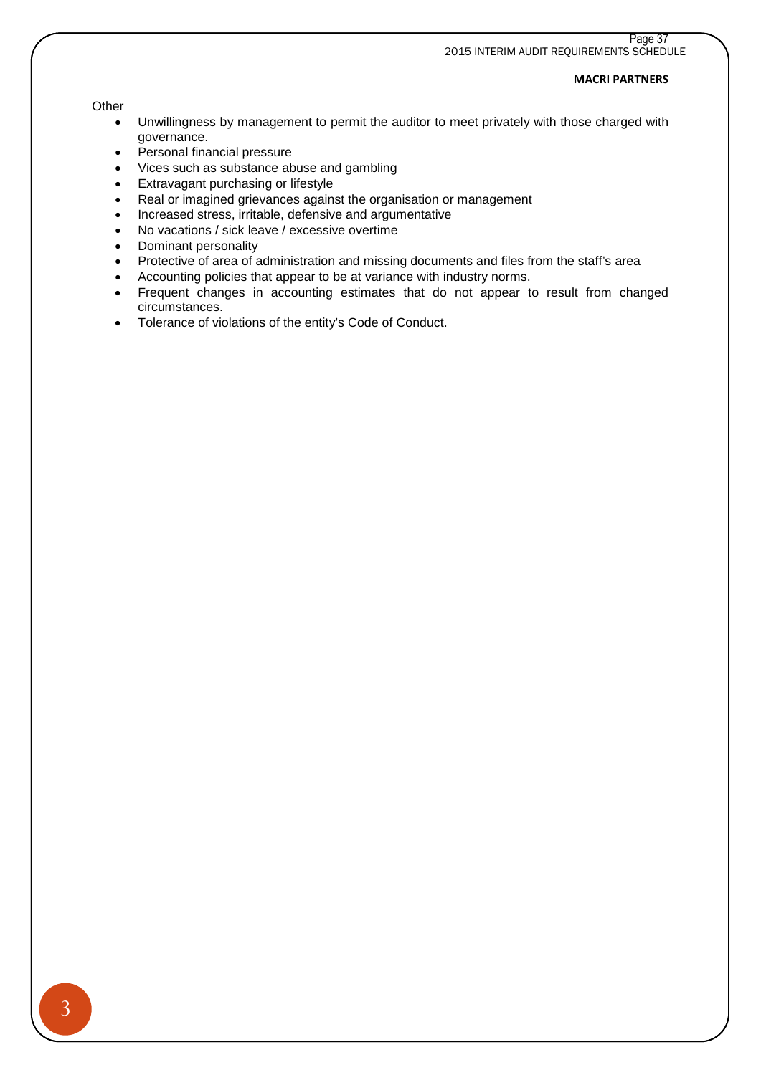#### 2015 INTERIM AUDIT REQUIREMENTS SCHEDULE Page 37

#### **MACRI PARTNERS**

#### **Other**

- Unwillingness by management to permit the auditor to meet privately with those charged with governance.
- Personal financial pressure
- Vices such as substance abuse and gambling
- Extravagant purchasing or lifestyle
- Real or imagined grievances against the organisation or management
- Increased stress, irritable, defensive and argumentative
- No vacations / sick leave / excessive overtime
- Dominant personality
- Protective of area of administration and missing documents and files from the staff's area
- Accounting policies that appear to be at variance with industry norms.
- Frequent changes in accounting estimates that do not appear to result from changed circumstances.
- Tolerance of violations of the entity's Code of Conduct.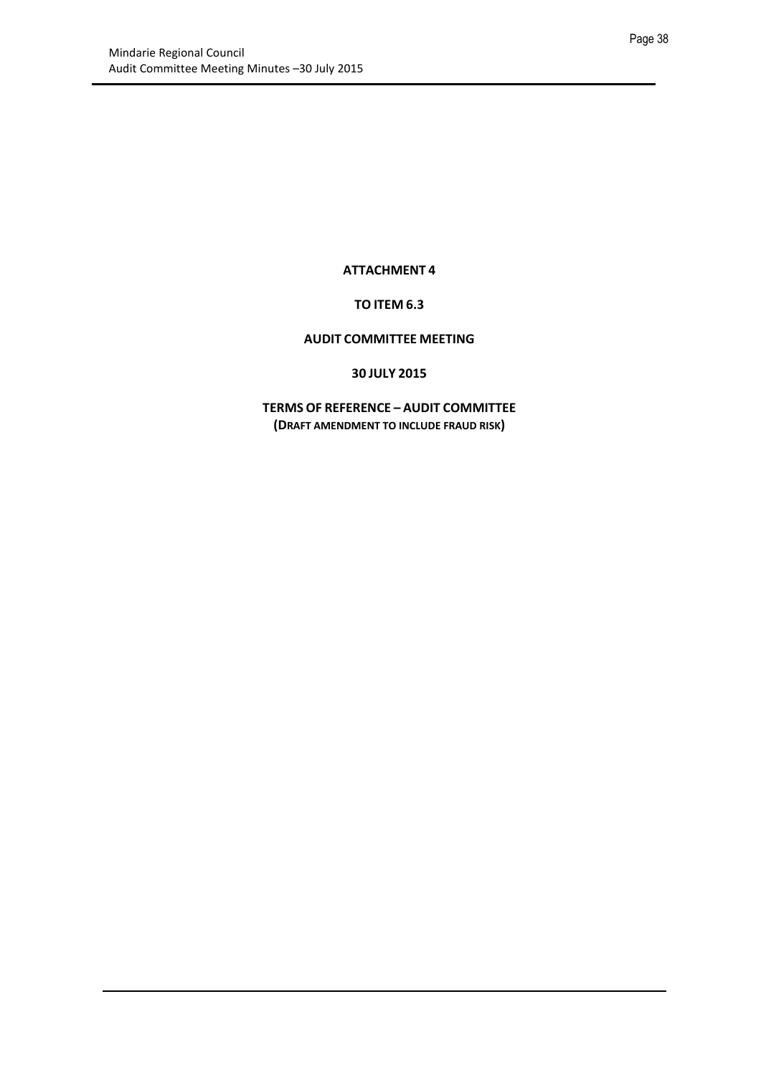**ATTACHMENT 4**

### **TO ITEM 6.3**

### **AUDIT COMMITTEE MEETING**

### **30 JULY 2015**

**TERMS OF REFERENCE – AUDIT COMMITTEE (DRAFT AMENDMENT TO INCLUDE FRAUD RISK)**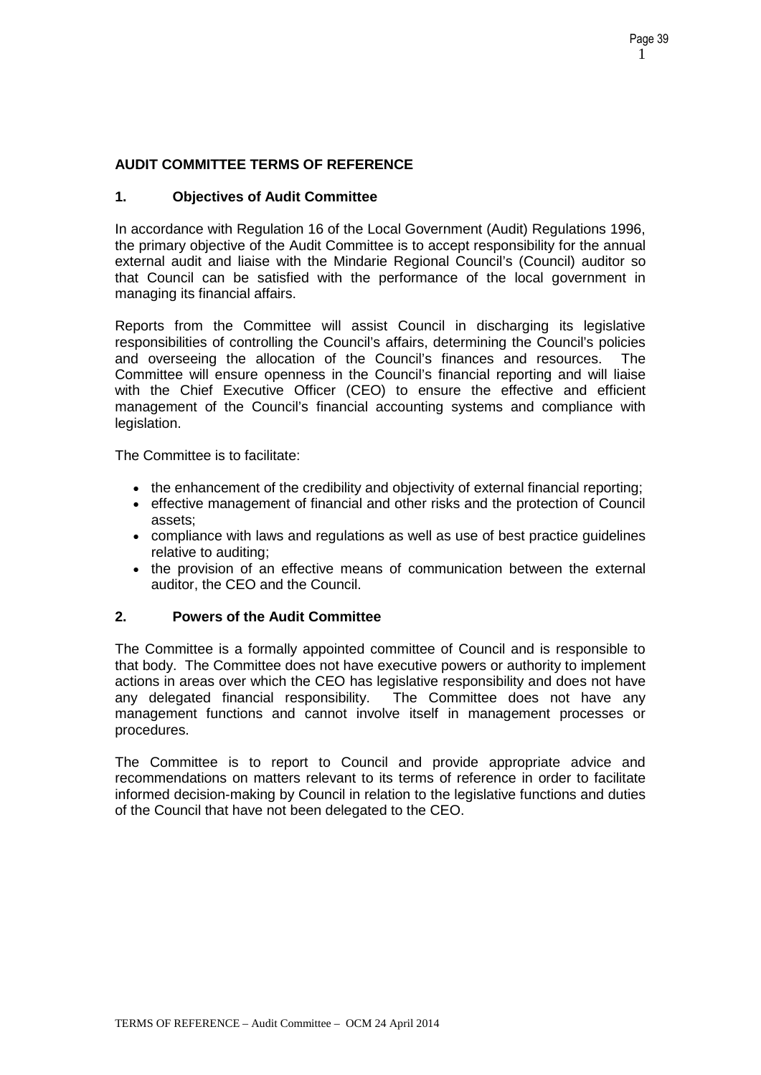### **AUDIT COMMITTEE TERMS OF REFERENCE**

### **1. Objectives of Audit Committee**

In accordance with Regulation 16 of the Local Government (Audit) Regulations 1996, the primary objective of the Audit Committee is to accept responsibility for the annual external audit and liaise with the Mindarie Regional Council's (Council) auditor so that Council can be satisfied with the performance of the local government in managing its financial affairs.

Reports from the Committee will assist Council in discharging its legislative responsibilities of controlling the Council's affairs, determining the Council's policies and overseeing the allocation of the Council's finances and resources. The Committee will ensure openness in the Council's financial reporting and will liaise with the Chief Executive Officer (CEO) to ensure the effective and efficient management of the Council's financial accounting systems and compliance with legislation.

The Committee is to facilitate:

- the enhancement of the credibility and objectivity of external financial reporting;
- effective management of financial and other risks and the protection of Council assets;
- compliance with laws and regulations as well as use of best practice guidelines relative to auditing;
- the provision of an effective means of communication between the external auditor, the CEO and the Council.

### **2. Powers of the Audit Committee**

The Committee is a formally appointed committee of Council and is responsible to that body. The Committee does not have executive powers or authority to implement actions in areas over which the CEO has legislative responsibility and does not have any delegated financial responsibility. The Committee does not have any management functions and cannot involve itself in management processes or procedures.

The Committee is to report to Council and provide appropriate advice and recommendations on matters relevant to its terms of reference in order to facilitate informed decision-making by Council in relation to the legislative functions and duties of the Council that have not been delegated to the CEO.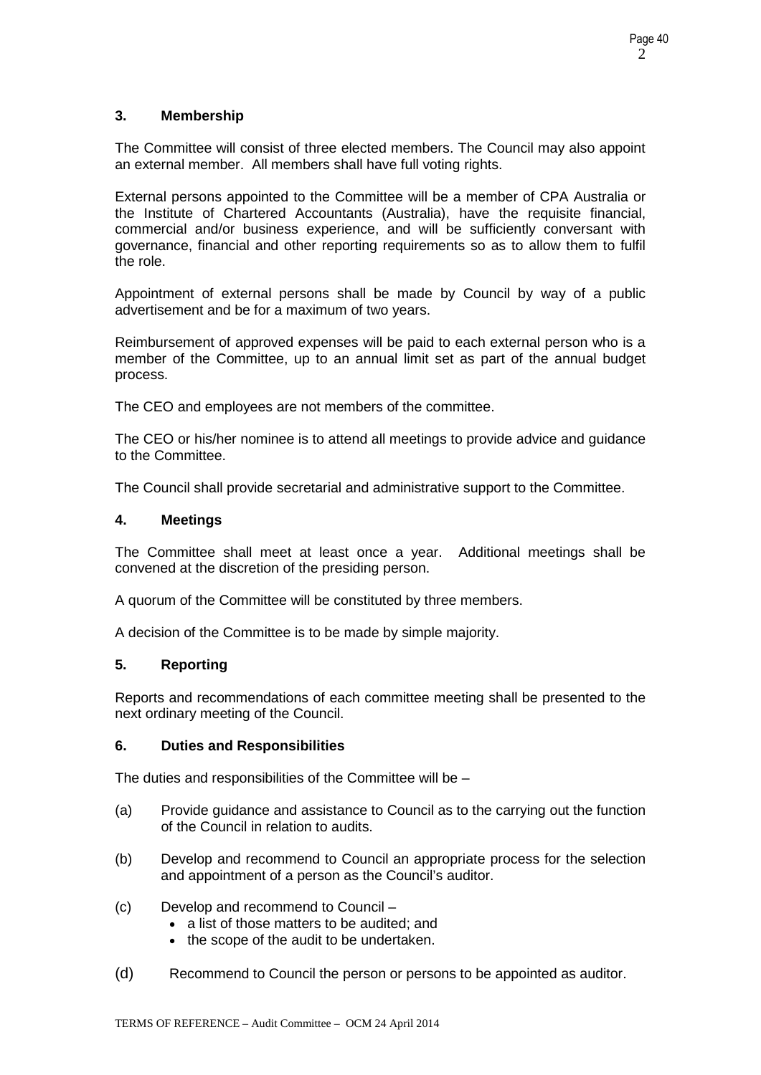### **3. Membership**

The Committee will consist of three elected members. The Council may also appoint an external member. All members shall have full voting rights.

External persons appointed to the Committee will be a member of CPA Australia or the Institute of Chartered Accountants (Australia), have the requisite financial, commercial and/or business experience, and will be sufficiently conversant with governance, financial and other reporting requirements so as to allow them to fulfil the role.

Appointment of external persons shall be made by Council by way of a public advertisement and be for a maximum of two years.

Reimbursement of approved expenses will be paid to each external person who is a member of the Committee, up to an annual limit set as part of the annual budget process.

The CEO and employees are not members of the committee.

The CEO or his/her nominee is to attend all meetings to provide advice and guidance to the Committee.

The Council shall provide secretarial and administrative support to the Committee.

### **4. Meetings**

The Committee shall meet at least once a year. Additional meetings shall be convened at the discretion of the presiding person.

A quorum of the Committee will be constituted by three members.

A decision of the Committee is to be made by simple majority.

### **5. Reporting**

Reports and recommendations of each committee meeting shall be presented to the next ordinary meeting of the Council.

### **6. Duties and Responsibilities**

The duties and responsibilities of the Committee will be –

- (a) Provide guidance and assistance to Council as to the carrying out the function of the Council in relation to audits.
- (b) Develop and recommend to Council an appropriate process for the selection and appointment of a person as the Council's auditor.
- (c) Develop and recommend to Council
	- a list of those matters to be audited; and
	- the scope of the audit to be undertaken.
- (d) Recommend to Council the person or persons to be appointed as auditor.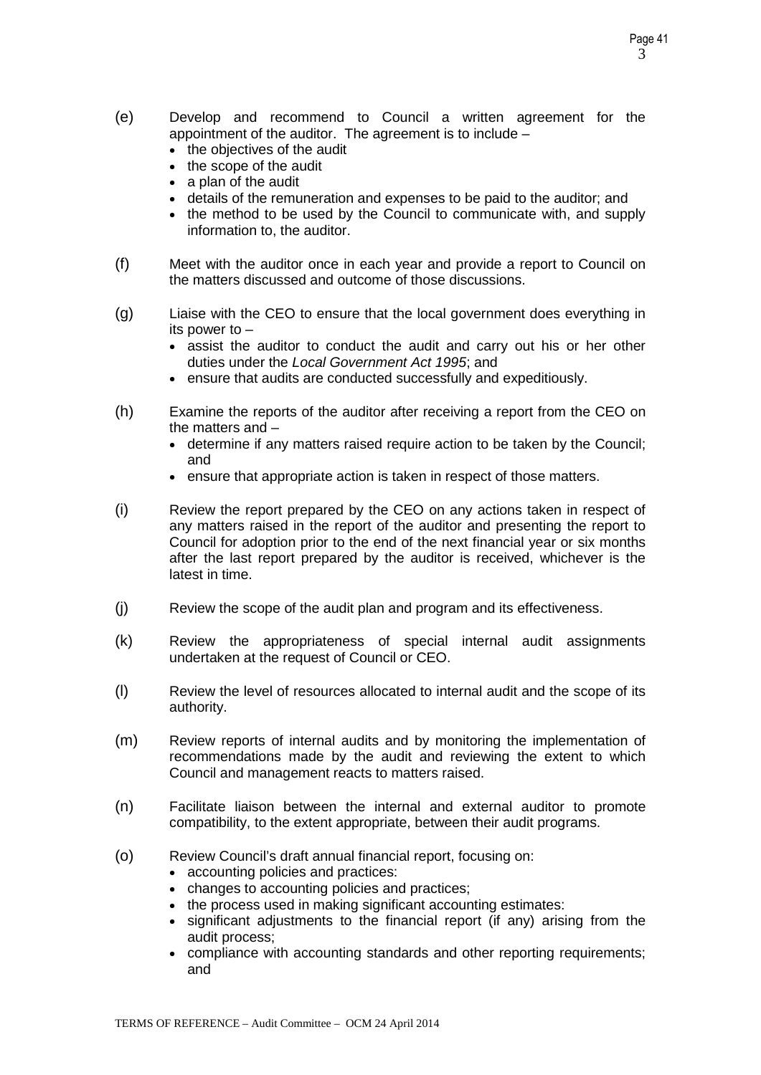- (e) Develop and recommend to Council a written agreement for the appointment of the auditor. The agreement is to include –
	- the objectives of the audit
	- the scope of the audit
	- a plan of the audit
	- details of the remuneration and expenses to be paid to the auditor; and
	- the method to be used by the Council to communicate with, and supply information to, the auditor.
- (f) Meet with the auditor once in each year and provide a report to Council on the matters discussed and outcome of those discussions.
- (g) Liaise with the CEO to ensure that the local government does everything in its power to –
	- assist the auditor to conduct the audit and carry out his or her other duties under the *Local Government Act 1995*; and
	- ensure that audits are conducted successfully and expeditiously.
- (h) Examine the reports of the auditor after receiving a report from the CEO on the matters and –
	- determine if any matters raised require action to be taken by the Council; and
	- ensure that appropriate action is taken in respect of those matters.
- (i) Review the report prepared by the CEO on any actions taken in respect of any matters raised in the report of the auditor and presenting the report to Council for adoption prior to the end of the next financial year or six months after the last report prepared by the auditor is received, whichever is the latest in time.
- (j) Review the scope of the audit plan and program and its effectiveness.
- (k) Review the appropriateness of special internal audit assignments undertaken at the request of Council or CEO.
- (l) Review the level of resources allocated to internal audit and the scope of its authority.
- (m) Review reports of internal audits and by monitoring the implementation of recommendations made by the audit and reviewing the extent to which Council and management reacts to matters raised.
- (n) Facilitate liaison between the internal and external auditor to promote compatibility, to the extent appropriate, between their audit programs.
- (o) Review Council's draft annual financial report, focusing on:
	- accounting policies and practices:
	- changes to accounting policies and practices;
	- the process used in making significant accounting estimates:
	- significant adjustments to the financial report (if any) arising from the audit process;
	- compliance with accounting standards and other reporting requirements; and